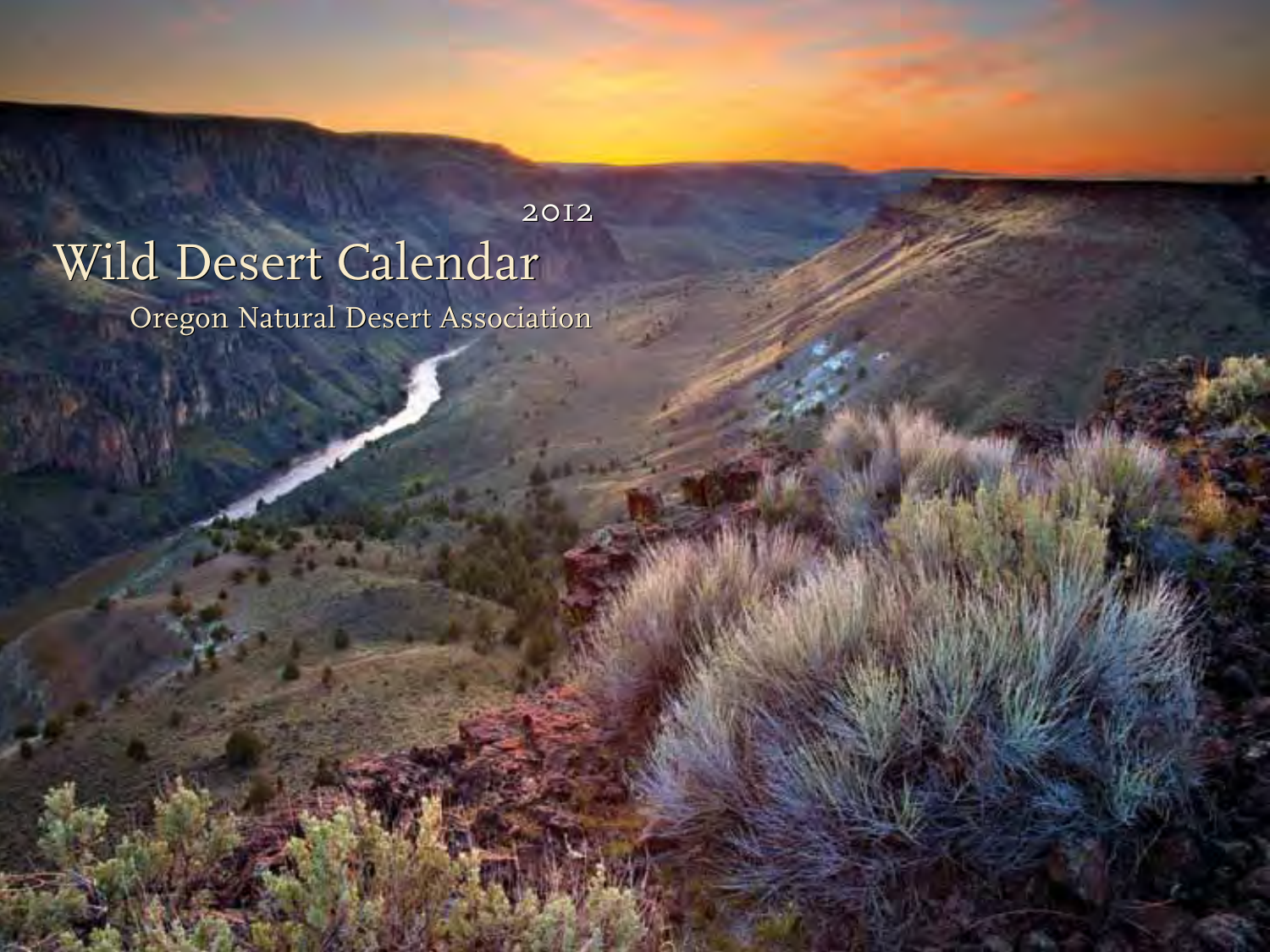# 2012 Wild Desert Calendar Wild Desert Calendar

Oregon Natural Desert Association Oregon Natural Desert Association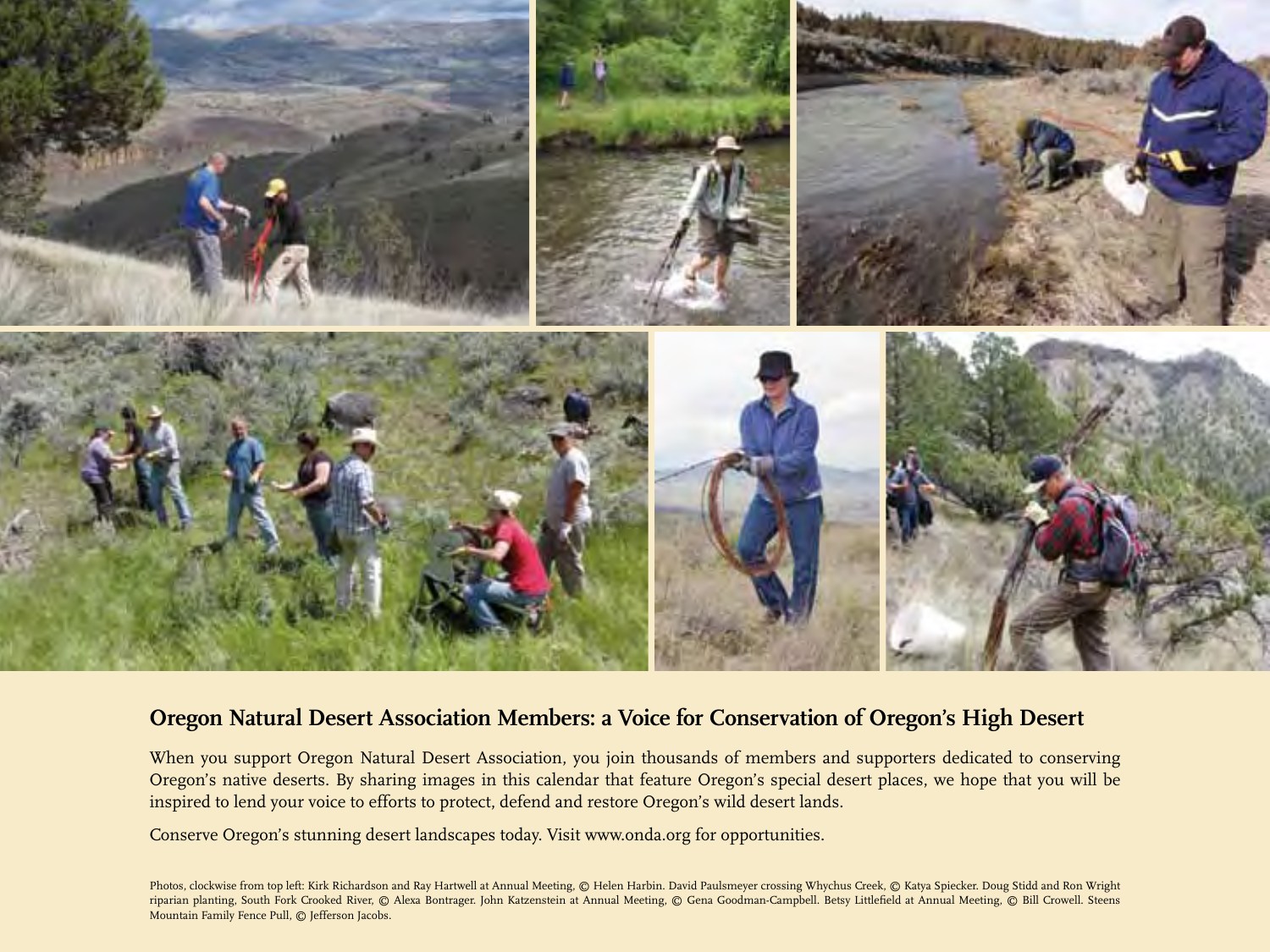

### **Oregon Natural Desert Association Members: a Voice for Conservation of Oregon's High Desert**

When you support Oregon Natural Desert Association, you join thousands of members and supporters dedicated to conserving Oregon's native deserts. By sharing images in this calendar that feature Oregon's special desert places, we hope that you will be inspired to lend your voice to efforts to protect, defend and restore Oregon's wild desert lands.

Conserve Oregon's stunning desert landscapes today. Visit www.onda.org for opportunities.

Photos, clockwise from top left: Kirk Richardson and Ray Hartwell at Annual Meeting, © Helen Harbin. David Paulsmeyer crossing Whychus Creek, © Katya Spiecker. Doug Stidd and Ron Wright riparian planting, South Fork Crooked River, © Alexa Bontrager. John Katzenstein at Annual Meeting, © Gena Goodman-Campbell. Betsy Littlefield at Annual Meeting, © Bill Crowell. Steens Mountain Family Fence Pull, © Jefferson Jacobs.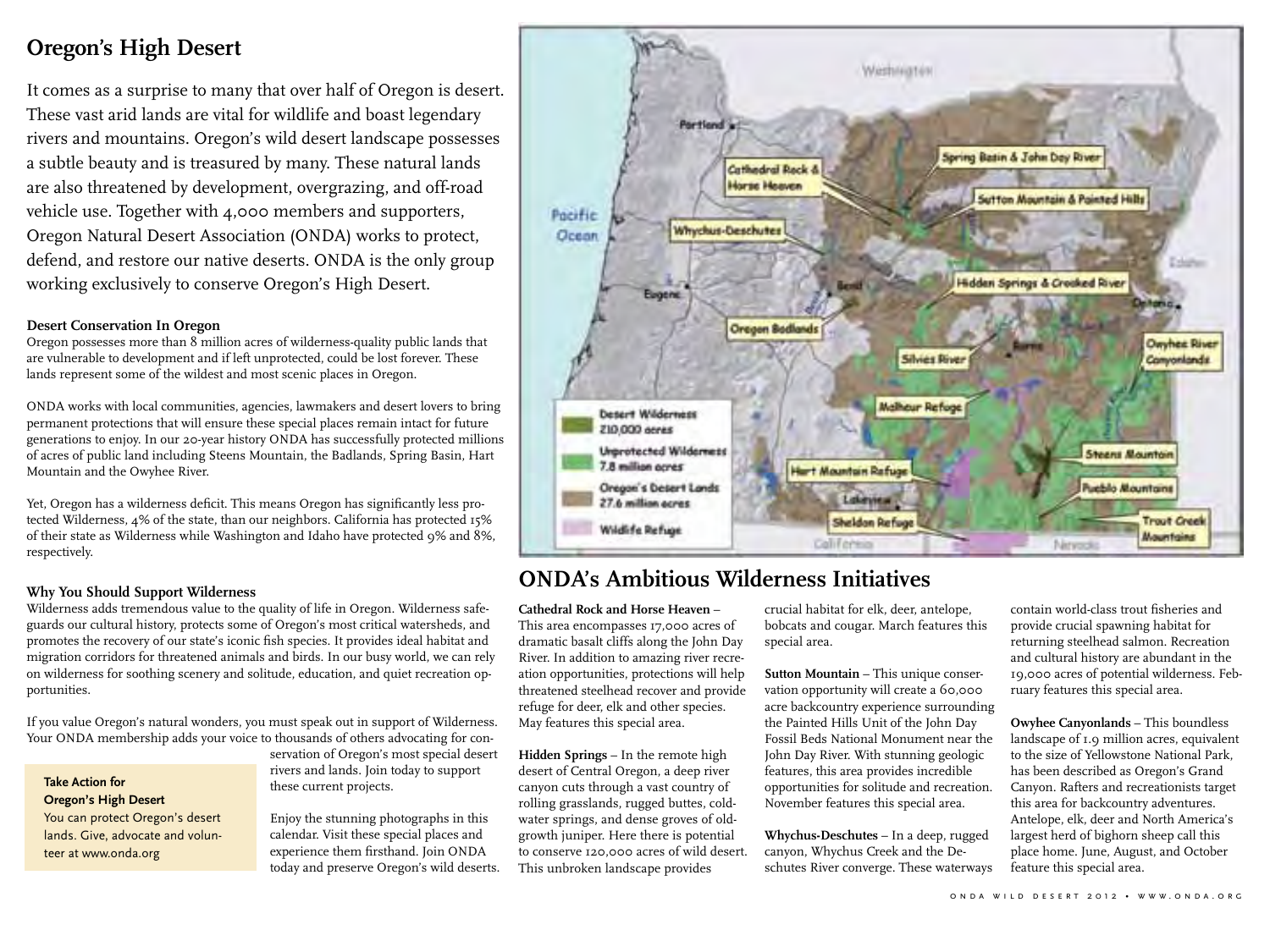### **Oregon's High Desert**

It comes as a surprise to many that over half of Oregon is desert. These vast arid lands are vital for wildlife and boast legendary rivers and mountains. Oregon's wild desert landscape possesses a subtle beauty and is treasured by many. These natural lands are also threatened by development, overgrazing, and off-road vehicle use. Together with 4,000 members and supporters, Oregon Natural Desert Association (ONDA) works to protect, defend, and restore our native deserts. ONDA is the only group working exclusively to conserve Oregon's High Desert.

### **Desert Conservation In Oregon**

Oregon possesses more than 8 million acres of wilderness-quality public lands that are vulnerable to development and if left unprotected, could be lost forever. These lands represent some of the wildest and most scenic places in Oregon.

ONDA works with local communities, agencies, lawmakers and desert lovers to bring permanent protections that will ensure these special places remain intact for future generations to enjoy. In our 20-year history ONDA has successfully protected millions of acres of public land including Steens Mountain, the Badlands, Spring Basin, Hart Mountain and the Owyhee River.

Yet, Oregon has a wilderness deficit. This means Oregon has significantly less protected Wilderness, 4% of the state, than our neighbors. California has protected 15% of their state as Wilderness while Washington and Idaho have protected 9% and 8%, respectively.

### **Why You Should Support Wilderness**

Wilderness adds tremendous value to the quality of life in Oregon. Wilderness safeguards our cultural history, protects some of Oregon's most critical watersheds, and promotes the recovery of our state's iconic fish species. It provides ideal habitat and migration corridors for threatened animals and birds. In our busy world, we can rely on wilderness for soothing scenery and solitude, education, and quiet recreation opportunities.

If you value Oregon's natural wonders, you must speak out in support of Wilderness. Your ONDA membership adds your voice to thousands of others advocating for con-

**Take Action for Oregon's High Desert** You can protect Oregon's desert

teer at www.onda.org

lands. Give, advocate and volun-

servation of Oregon's most special desert rivers and lands. Join today to support these current projects.

Enjoy the stunning photographs in this calendar. Visit these special places and experience them firsthand. Join ONDA today and preserve Oregon's wild deserts.



### **ONDA's Ambitious Wilderness Initiatives**

**Cathedral Rock and Horse Heaven** –

This area encompasses 17,000 acres of dramatic basalt cliffs along the John Day River. In addition to amazing river recreation opportunities, protections will help threatened steelhead recover and provide refuge for deer, elk and other species. May features this special area.

**Hidden Springs** – In the remote high desert of Central Oregon, a deep river canyon cuts through a vast country of rolling grasslands, rugged buttes, coldwater springs, and dense groves of oldgrowth juniper. Here there is potential to conserve 120,000 acres of wild desert. This unbroken landscape provides

crucial habitat for elk, deer, antelope, bobcats and cougar. March features this special area.

**Sutton Mountain** – This unique conservation opportunity will create a 60,000 acre backcountry experience surrounding the Painted Hills Unit of the John Day Fossil Beds National Monument near the John Day River. With stunning geologic features, this area provides incredible opportunities for solitude and recreation. November features this special area.

**Whychus-Deschutes** – In a deep, rugged canyon, Whychus Creek and the Deschutes River converge. These waterways contain world-class trout fisheries and provide crucial spawning habitat for returning steelhead salmon. Recreation and cultural history are abundant in the 19,000 acres of potential wilderness. February features this special area.

**Owyhee Canyonlands** – This boundless landscape of 1.9 million acres, equivalent to the size of Yellowstone National Park, has been described as Oregon's Grand Canyon. Rafters and recreationists target this area for backcountry adventures. Antelope, elk, deer and North America's largest herd of bighorn sheep call this place home. June, August, and October feature this special area.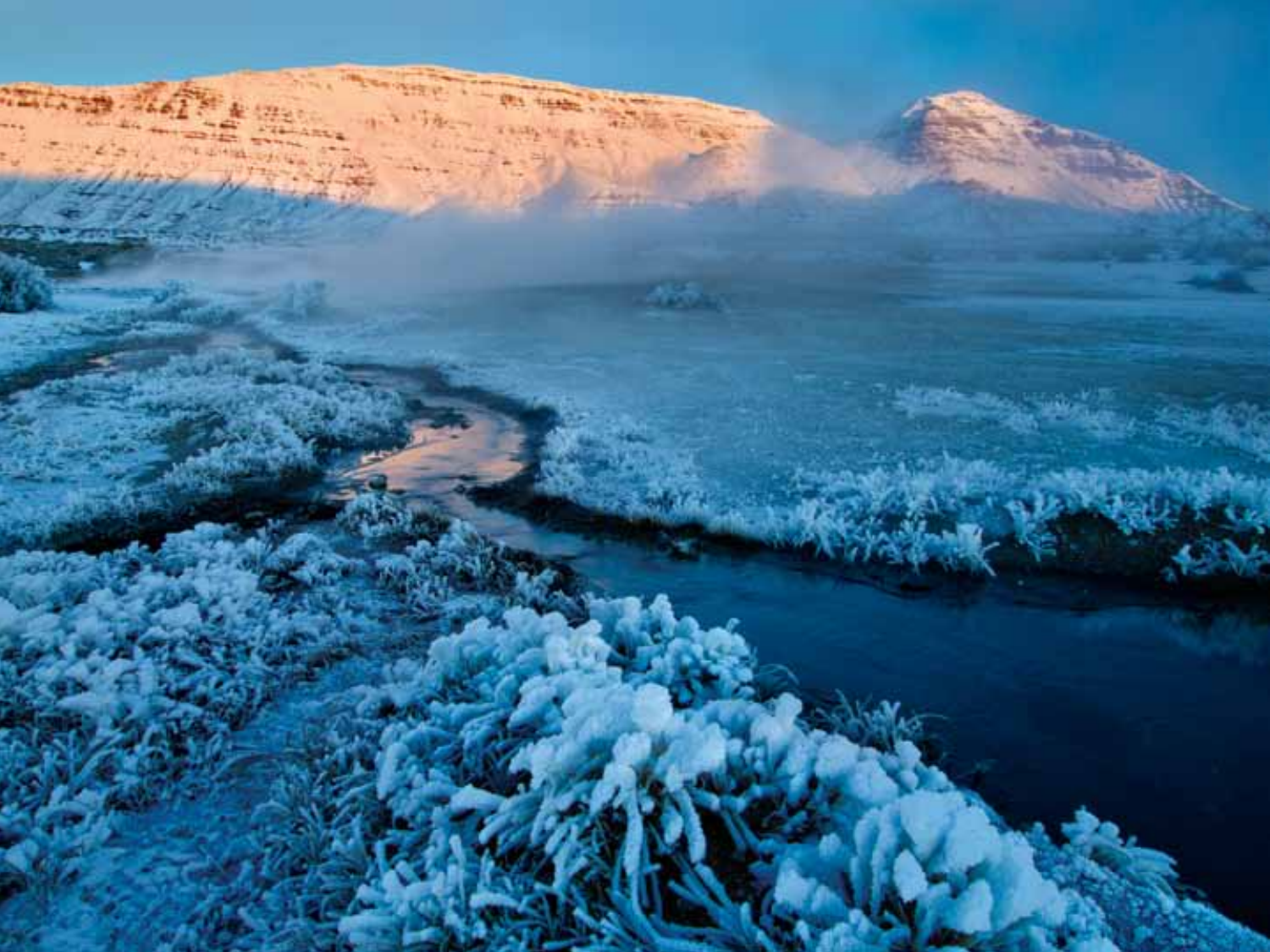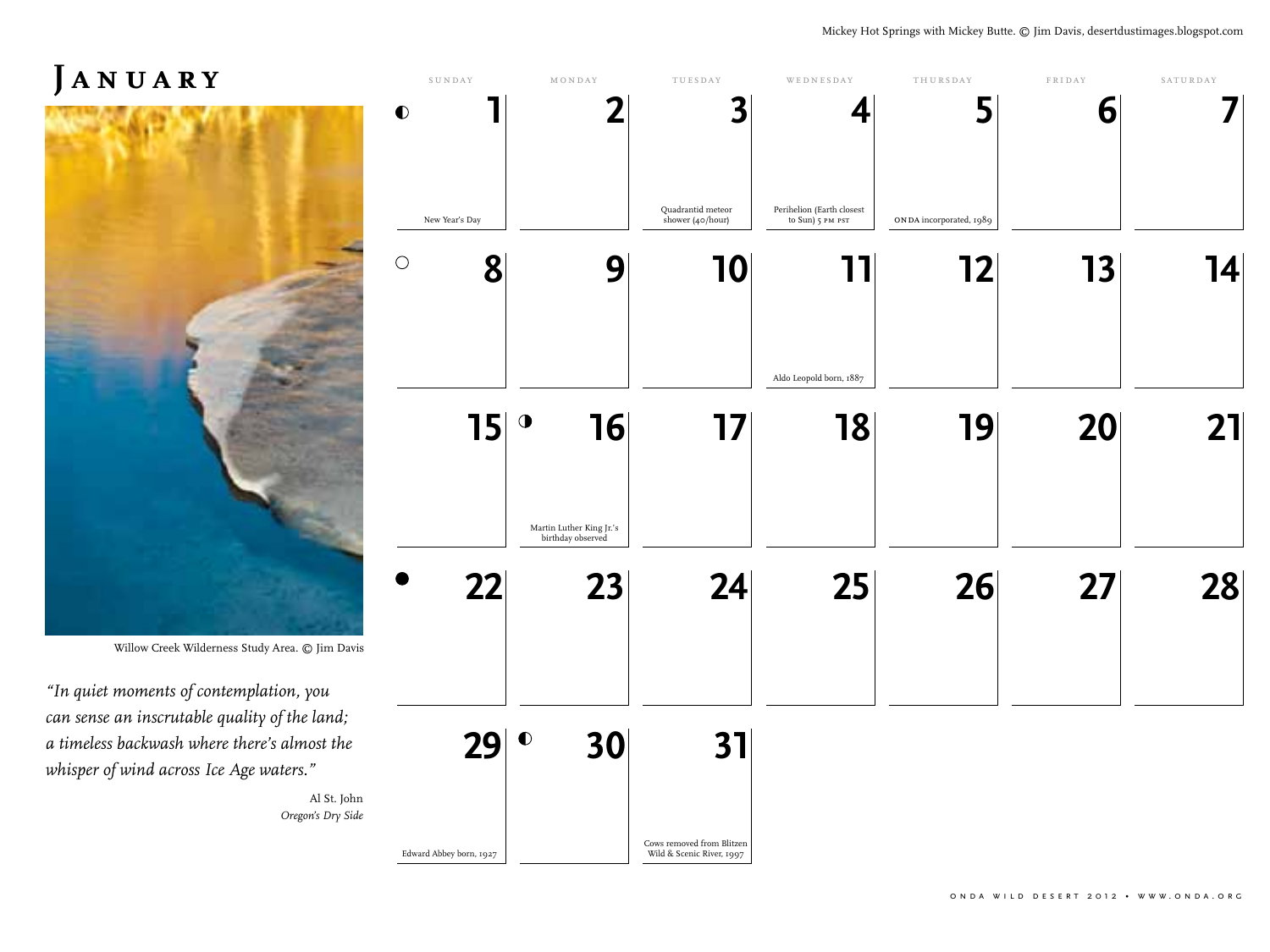Mickey Hot Springs with Mickey Butte. © Jim Davis, desertdustimages.blogspot.com





**J a n u a r y**

Willow Creek Wilderness Study Area. © Jim Davis

*"In quiet moments of contemplation, you can sense an inscrutable quality of the land; a timeless backwash where there's almost the whisper of wind across Ice Age waters."*

> Al St. John *Oregon's Dry Side*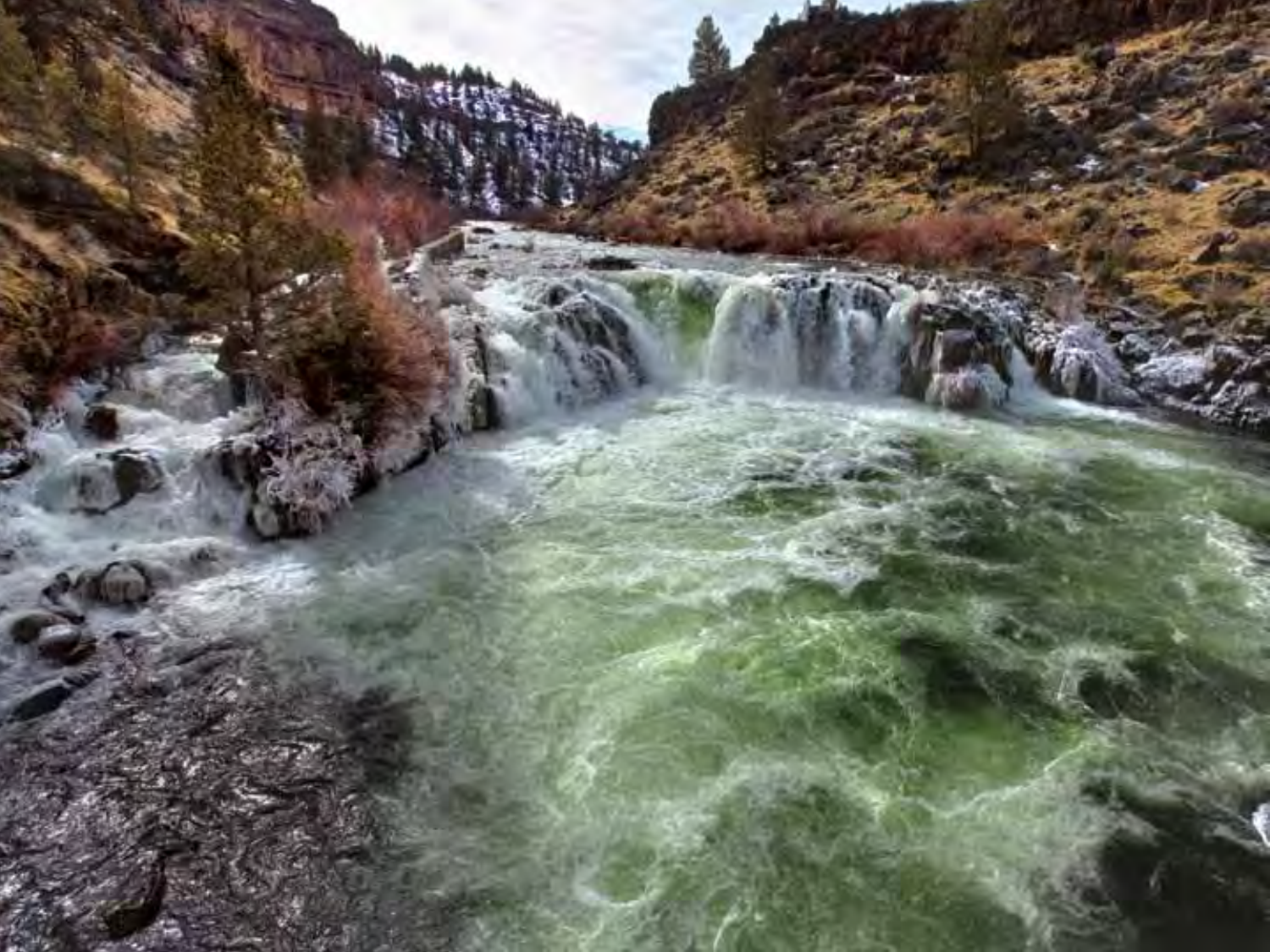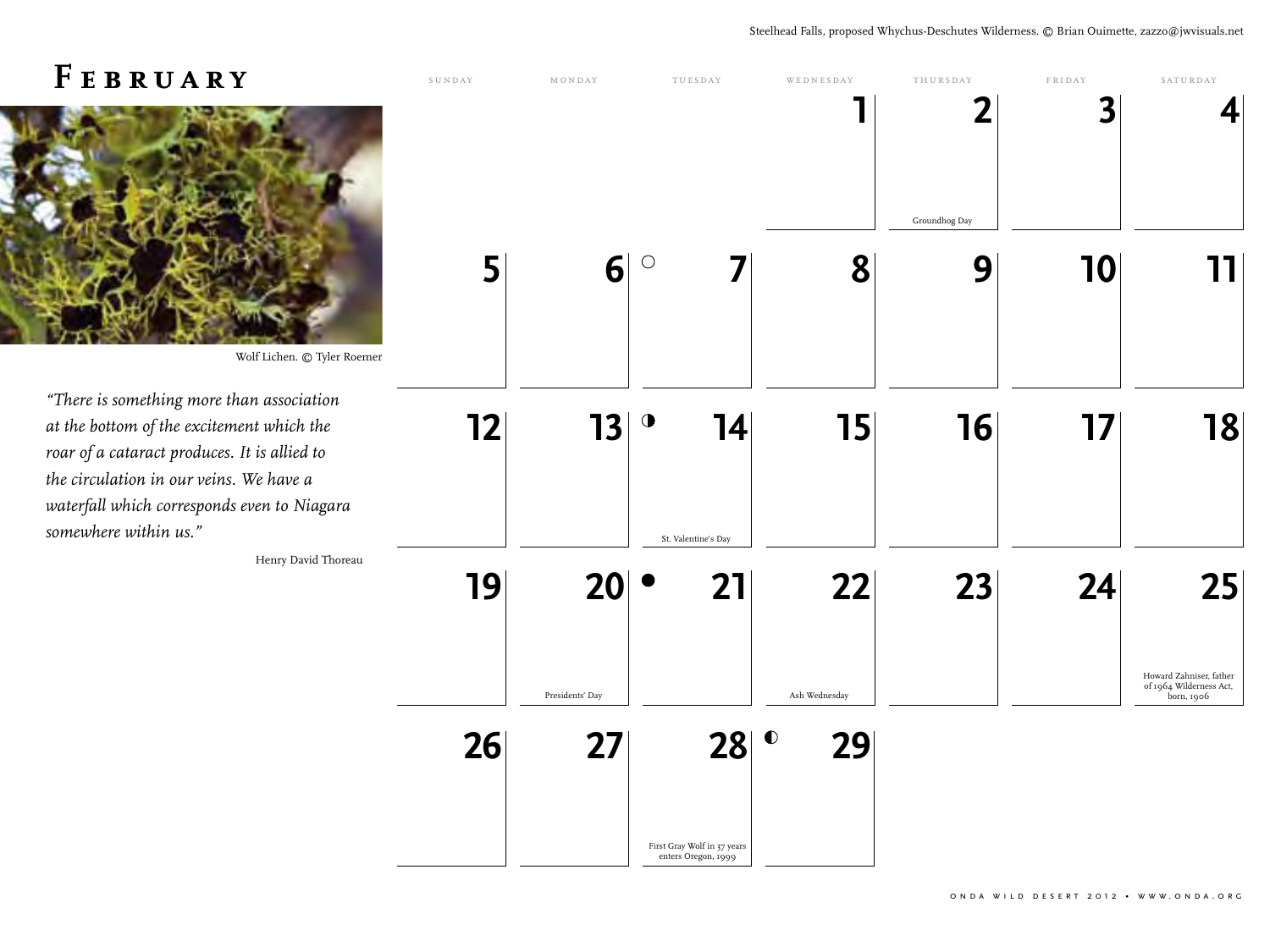#### Steelhead Falls, proposed Whychus-Deschutes Wilderness. © Brian Ouimette, zazzo@jwvisuals.net

### **F e b r u a r y**



Wolf Lichen. © Tyler Roemer

*"There is something more than association at the bottom of the excitement which the roar of a cataract produces. It is allied to the circulation in our veins. We have a waterfall which corresponds even to Niagara somewhere within us."*

Henry David Thoreau

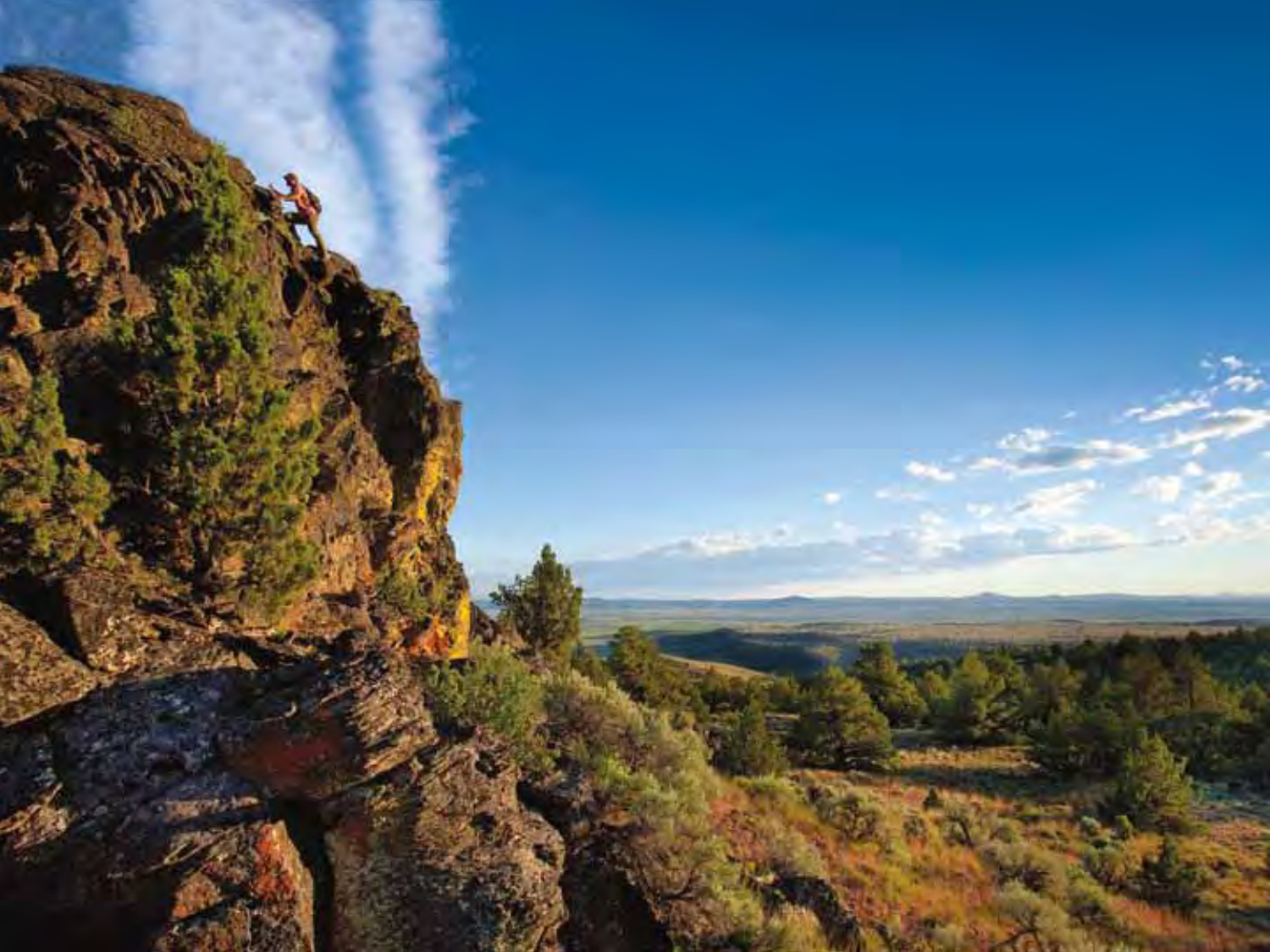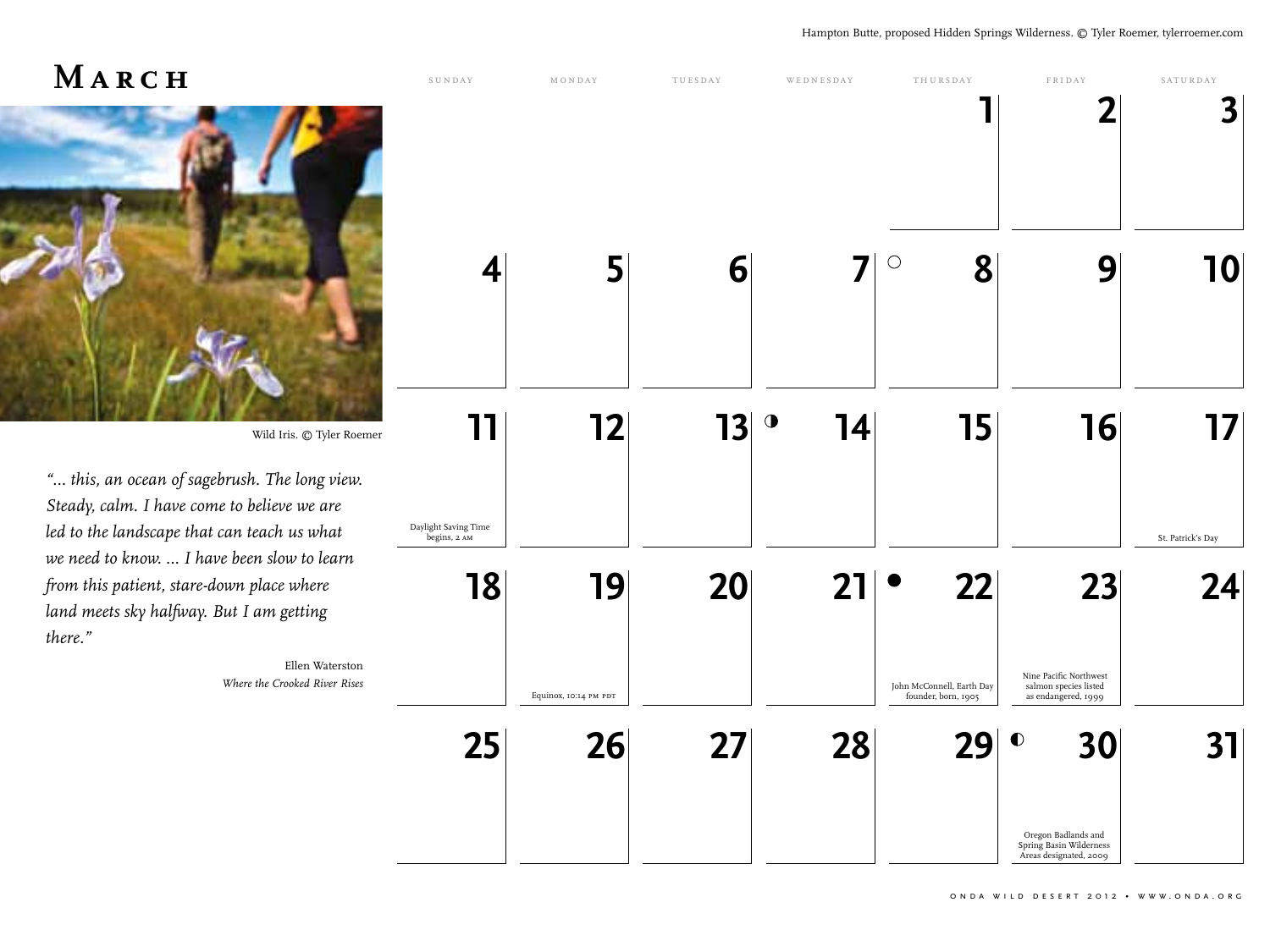### Hampton Butte, proposed Hidden Springs Wilderness. © Tyler Roemer, tylerroemer.com

# **M a r c h**



Wild Iris. © Tyler Roemer

*"… this, an ocean of sagebrush. The long view. Steady, calm. I have come to believe we are led to the landscape that can teach us what we need to know. … I have been slow to learn from this patient, stare-down place where land meets sky halfway. But I am getting there."*

> Ellen Waterston *Where the Crooked River Rises*

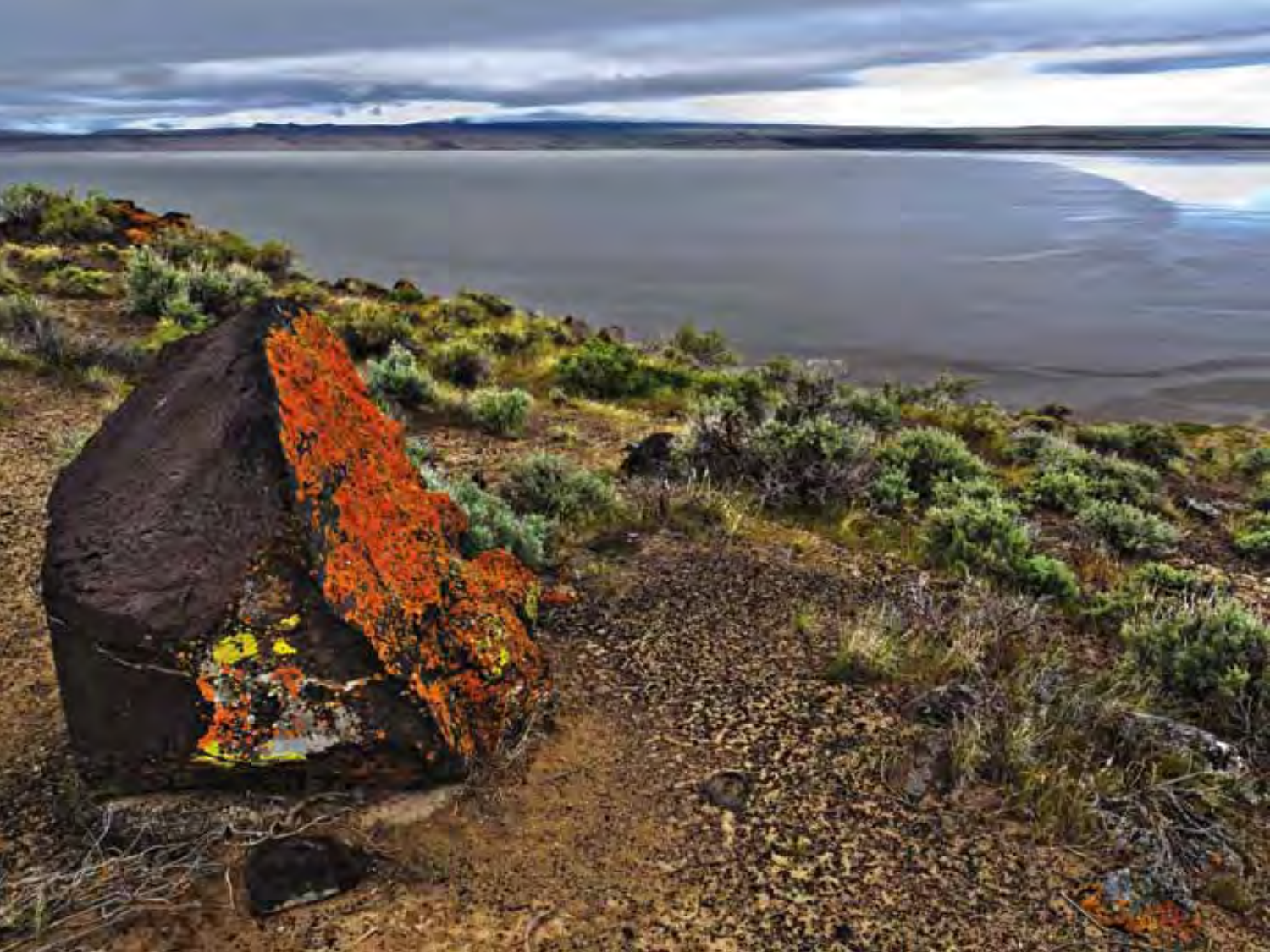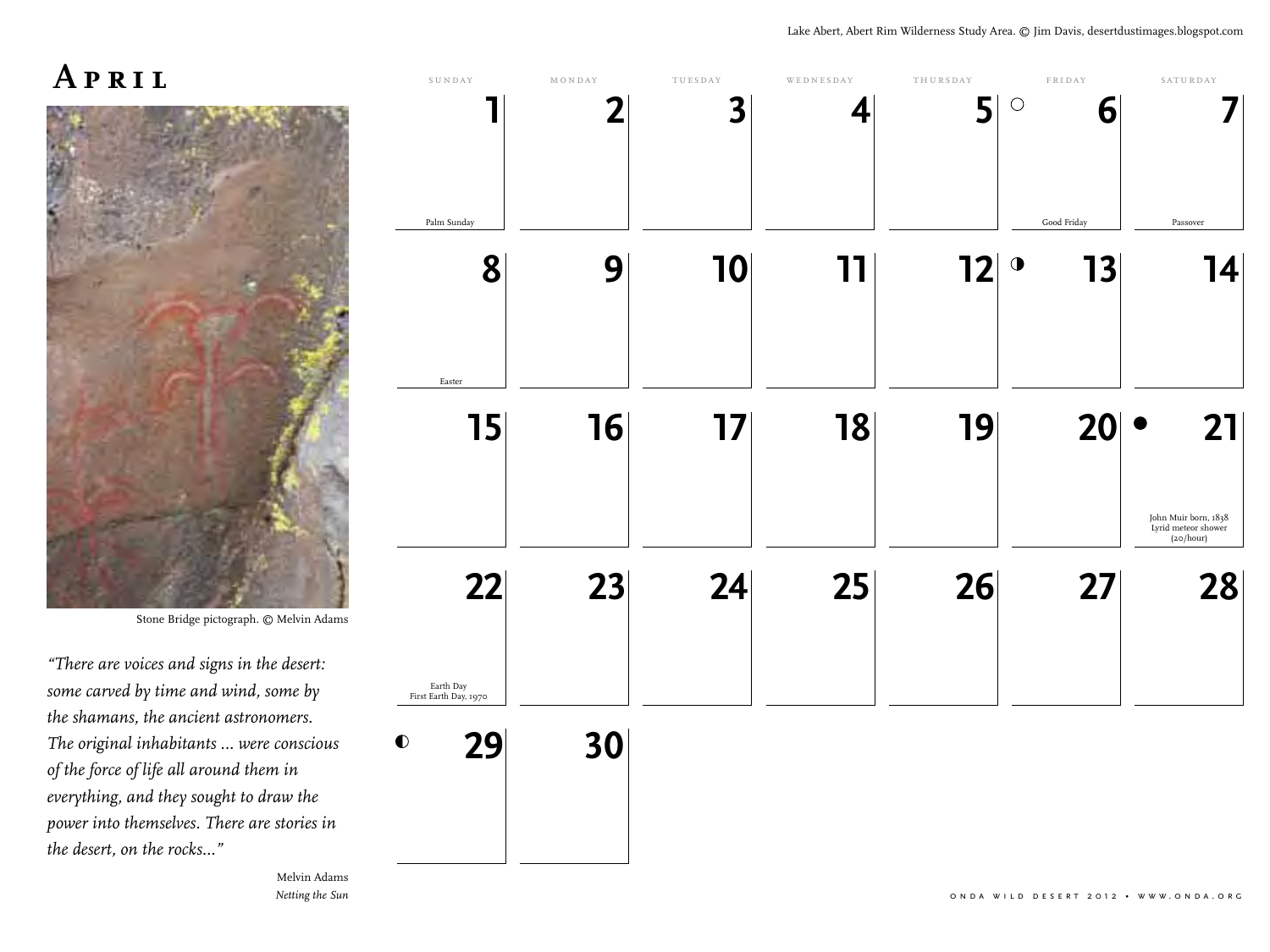# **A p r i l**



Stone Bridge pictograph. © Melvin Adams

*"There are voices and signs in the desert: some carved by time and wind, some by the shamans, the ancient astronomers. The original inhabitants … were conscious of the force of life all around them in everything, and they sought to draw the power into themselves. There are stories in the desert, on the rocks..."* 



Melvin Adams *Netting the Sun*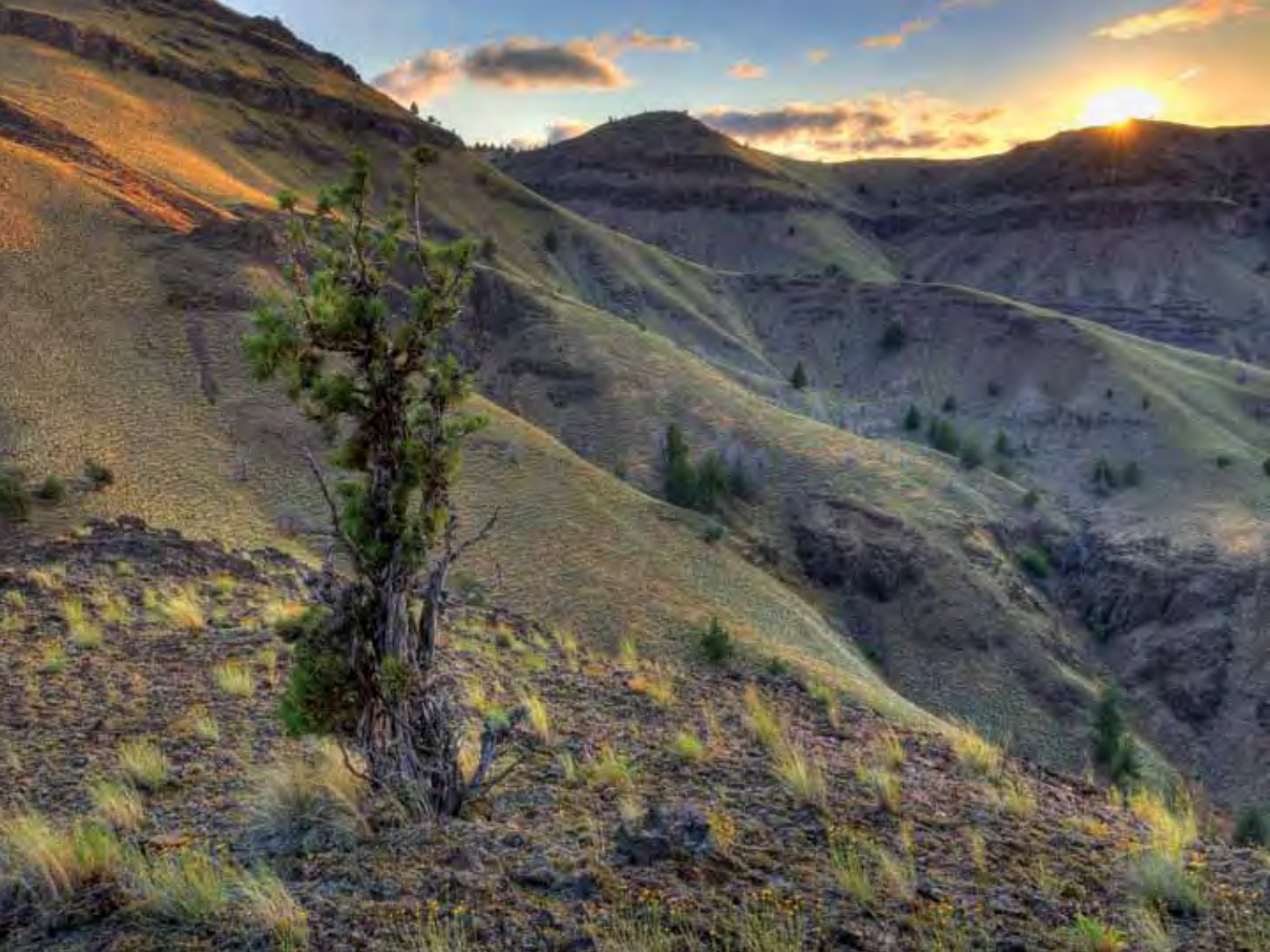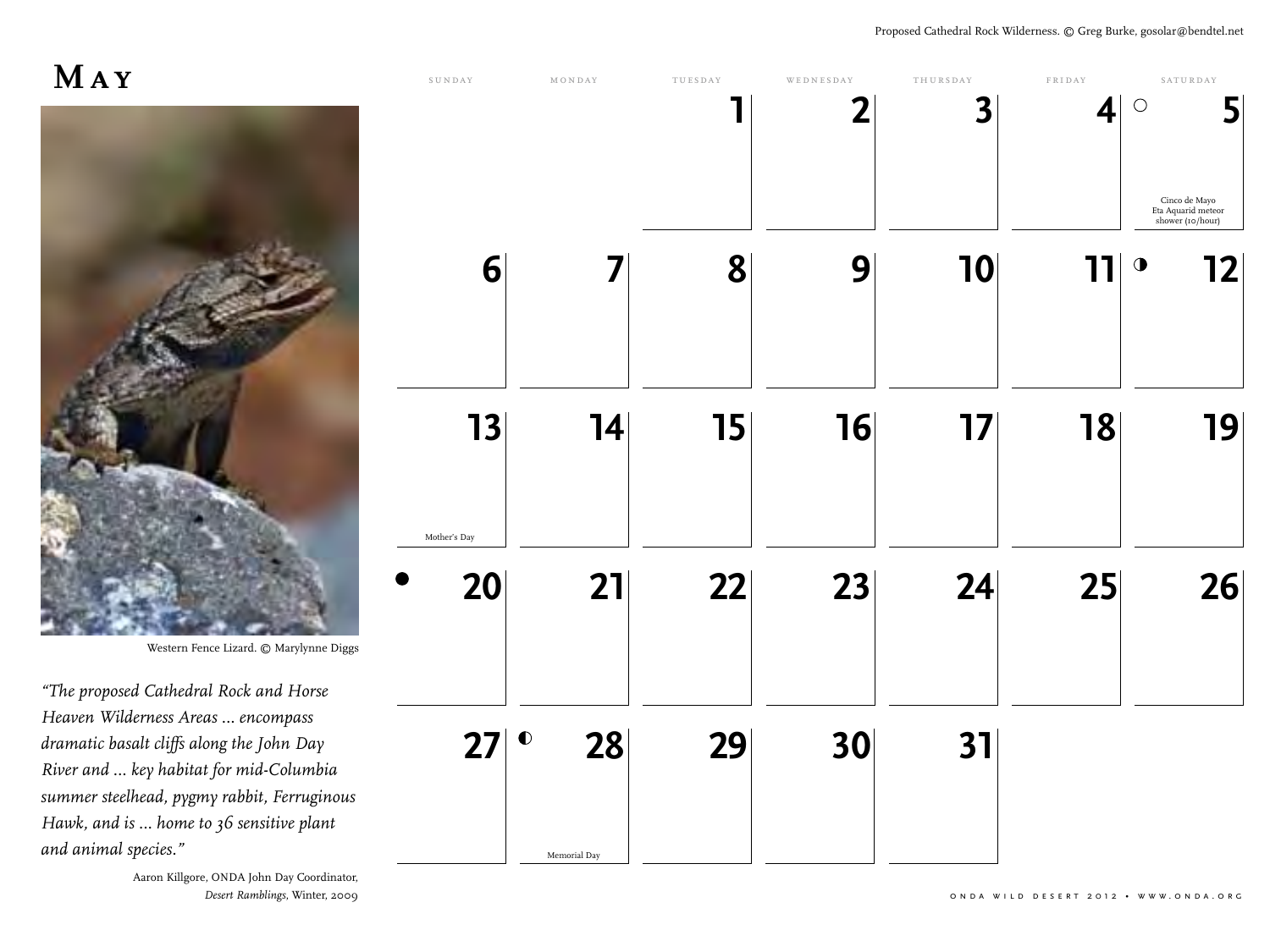

**M a y**

Western Fence Lizard. © Marylynne Diggs

*"The proposed Cathedral Rock and Horse Heaven Wilderness Areas … encompass dramatic basalt cliffs along the John Day River and … key habitat for mid-Columbia summer steelhead, pygmy rabbit, Ferruginous Hawk, and is … home to 36 sensitive plant and animal species."*

> Aaron Killgore, ONDA John Day Coordinator, *Desert Ramblings*, Winter, 2009

| $\mathbf S$ U N $\mathbf D$ A Y | MONDAY          | TUESDAY | $\mathbb{W} \to \mathbb{D} \text{ } \mathbb{N} \to \mathbb{S} \text{ } \mathbb{D} \text{ } \mathbb{A} \text{ } \mathbb{Y}$ | $\ensuremath{{\rm T}\,}{\rm H}\;{\rm U}\;{\rm R}\,{\rm S}\;{\rm D}\,{\rm A}\,{\rm Y}$ | $\mathbb F$ R I D A Y | SATURDAY                                                |
|---------------------------------|-----------------|---------|----------------------------------------------------------------------------------------------------------------------------|---------------------------------------------------------------------------------------|-----------------------|---------------------------------------------------------|
|                                 |                 |         | $\mathbf 2$                                                                                                                | 3                                                                                     | 4                     | $\bigcirc$<br>5                                         |
|                                 |                 |         |                                                                                                                            |                                                                                       |                       |                                                         |
|                                 |                 |         |                                                                                                                            |                                                                                       |                       |                                                         |
|                                 |                 |         |                                                                                                                            |                                                                                       |                       | Cinco de Mayo<br>Eta Aquarid meteor<br>shower (10/hour) |
| 6                               | 7               | 8       | 9                                                                                                                          | 10                                                                                    | 11                    | $\bigcirc$<br>12                                        |
|                                 |                 |         |                                                                                                                            |                                                                                       |                       |                                                         |
|                                 |                 |         |                                                                                                                            |                                                                                       |                       |                                                         |
|                                 |                 |         |                                                                                                                            |                                                                                       |                       |                                                         |
|                                 |                 |         |                                                                                                                            |                                                                                       |                       |                                                         |
| 3                               | 4               | 15      | 16                                                                                                                         | 17                                                                                    | 18                    | 19                                                      |
|                                 |                 |         |                                                                                                                            |                                                                                       |                       |                                                         |
|                                 |                 |         |                                                                                                                            |                                                                                       |                       |                                                         |
| Mother's Day                    |                 |         |                                                                                                                            |                                                                                       |                       |                                                         |
| 20                              | 21              | 22      | 23                                                                                                                         | 24                                                                                    | 25                    | 26                                                      |
|                                 |                 |         |                                                                                                                            |                                                                                       |                       |                                                         |
|                                 |                 |         |                                                                                                                            |                                                                                       |                       |                                                         |
|                                 |                 |         |                                                                                                                            |                                                                                       |                       |                                                         |
|                                 |                 |         |                                                                                                                            |                                                                                       |                       |                                                         |
| 27                              | $\bullet$<br>28 | 29      | <b>30</b>                                                                                                                  | 31                                                                                    |                       |                                                         |
|                                 |                 |         |                                                                                                                            |                                                                                       |                       |                                                         |
|                                 |                 |         |                                                                                                                            |                                                                                       |                       |                                                         |
|                                 | Memorial Day    |         |                                                                                                                            |                                                                                       |                       |                                                         |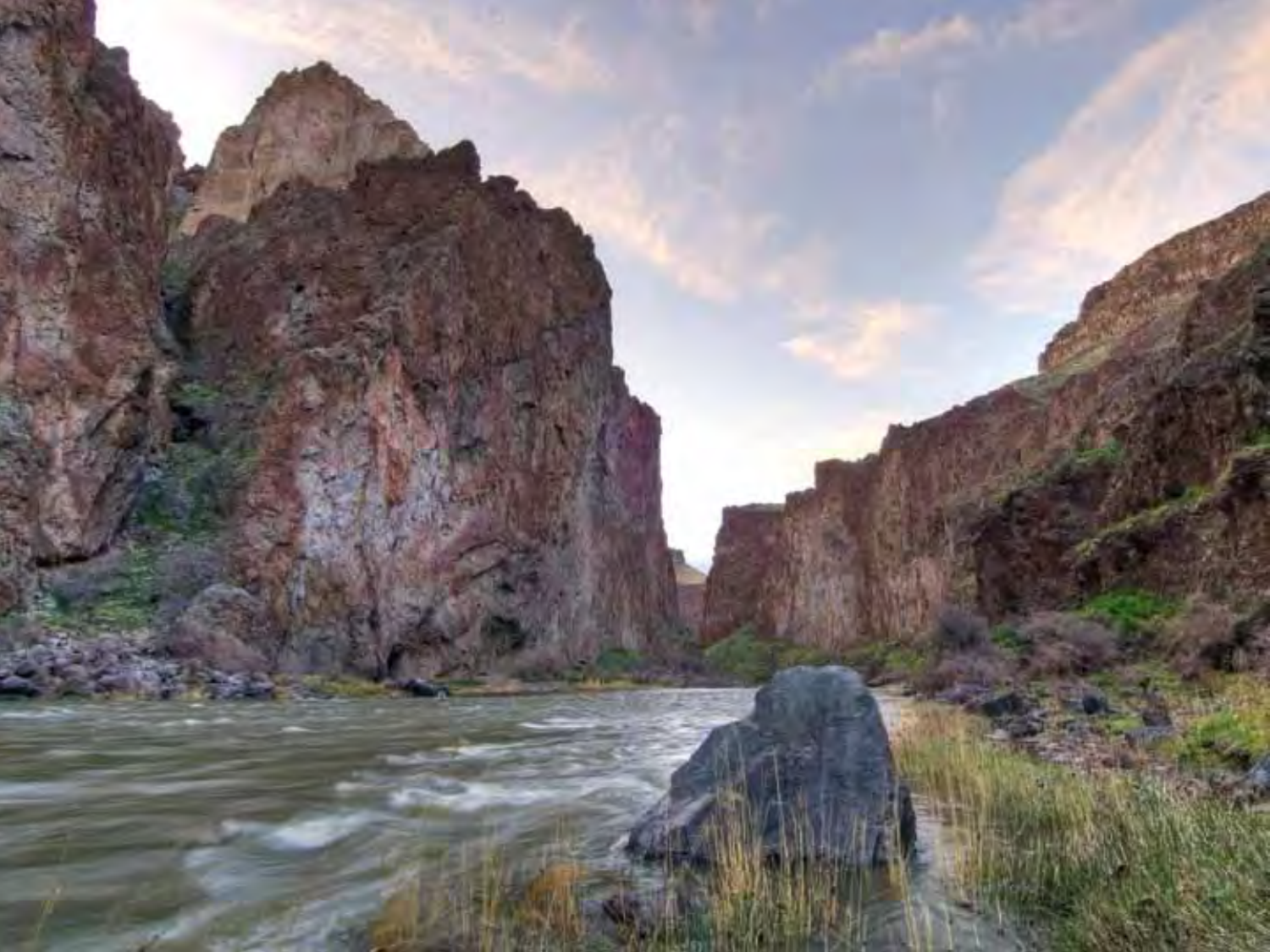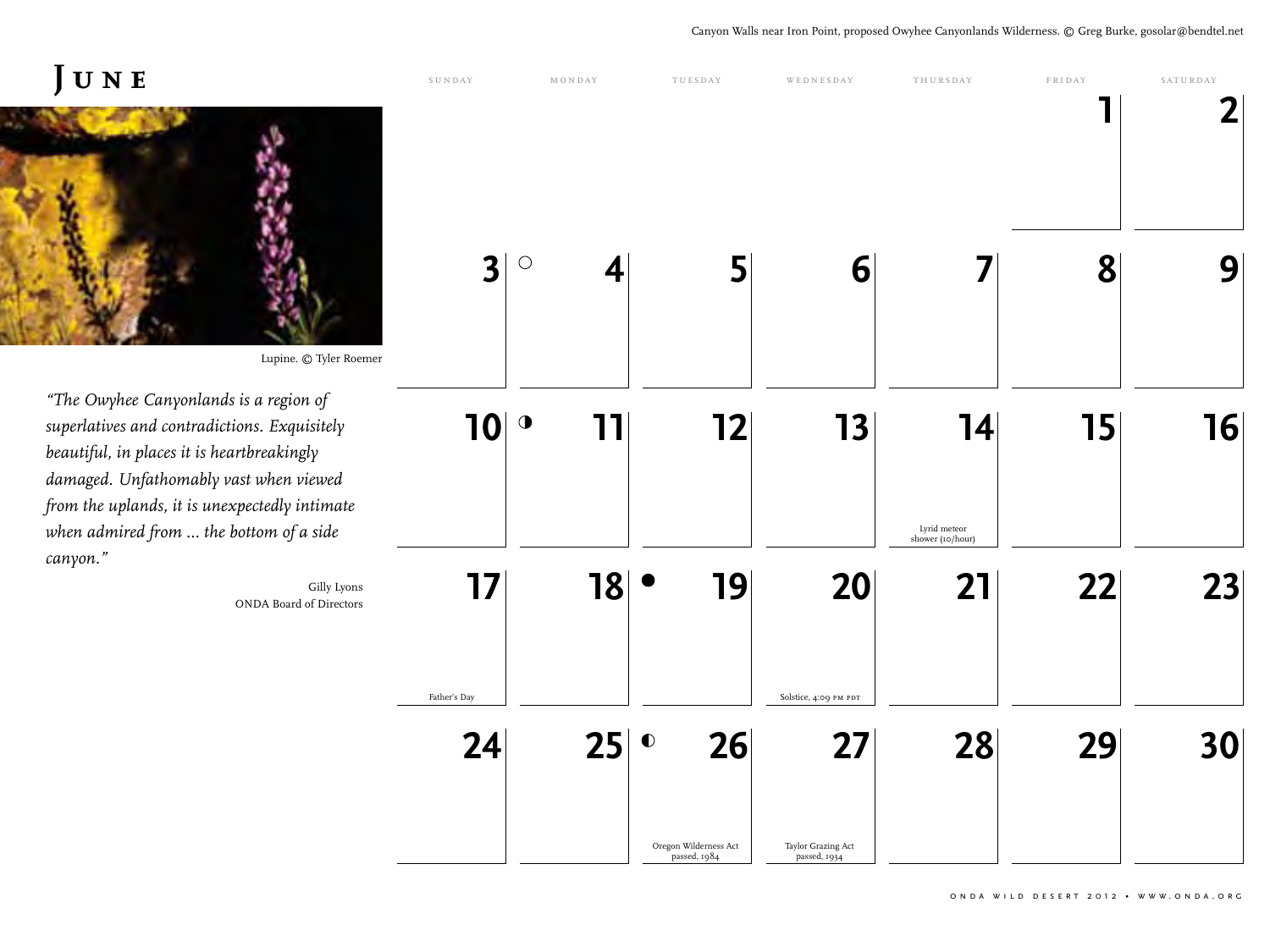### Canyon Walls near Iron Point, proposed Owyhee Canyonlands Wilderness. © Greg Burke, gosolar@bendtel.net



Lupine. © Tyler Roemer

*"The Owyhee Canyonlands is a region of superlatives and contradictions. Exquisitely beautiful, in places it is heartbreakingly damaged. Unfathomably vast when viewed from the uplands, it is unexpectedly intimate when admired from … the bottom of a side canyon."*

> Gilly Lyons ONDA Board of Directors

| SUNDAY                         | MONDAY           | TUESDAY                                     | $\mathbbm{W}\to \mathbbm{D}\ \mathbbm{N}\to \mathbbm{S}\ \mathbbm{D}\ \mathbbm{A}\ \mathbbm{Y}$ | THURSDAY                               | FRIDAY  | SATURDAY  |
|--------------------------------|------------------|---------------------------------------------|-------------------------------------------------------------------------------------------------|----------------------------------------|---------|-----------|
|                                |                  |                                             |                                                                                                 |                                        |         |           |
| $\overline{\mathbf{3}}$        | $\bigcirc$<br>4  | 5                                           | 6                                                                                               | 7                                      | 8       | 9         |
| 10                             | $\bigcirc$<br>11 | 2                                           | 3                                                                                               | 4                                      | 15      | 16        |
| 17                             | 3                | 19<br>$\bullet$                             | 20                                                                                              | Lyrid meteor<br>shower (10/hour)<br>21 | 22      | 23        |
| Father's Day<br>$\blacksquare$ |                  | $\mathbf{1}$<br>$\bullet$                   | Solstice, 4:09 PM PDT<br>ı I                                                                    | $\overline{1}$                         | $\perp$ |           |
| 24                             | 25               | 26<br>Oregon Wilderness Act<br>passed, 1984 | $\mathbf{Z}$<br>Taylor Grazing Act<br>passed, 1934                                              | <b>28</b>                              | 29      | <b>30</b> |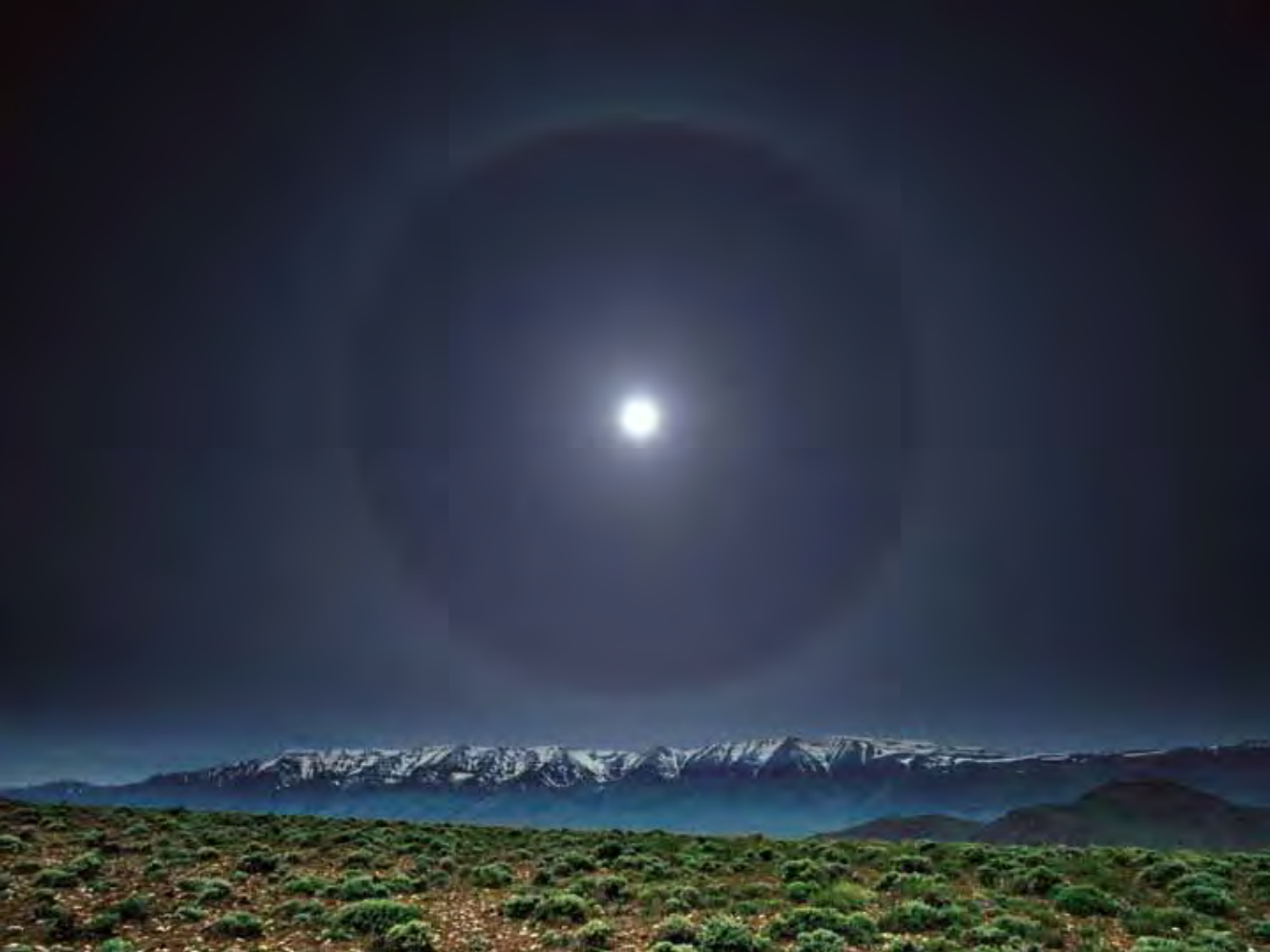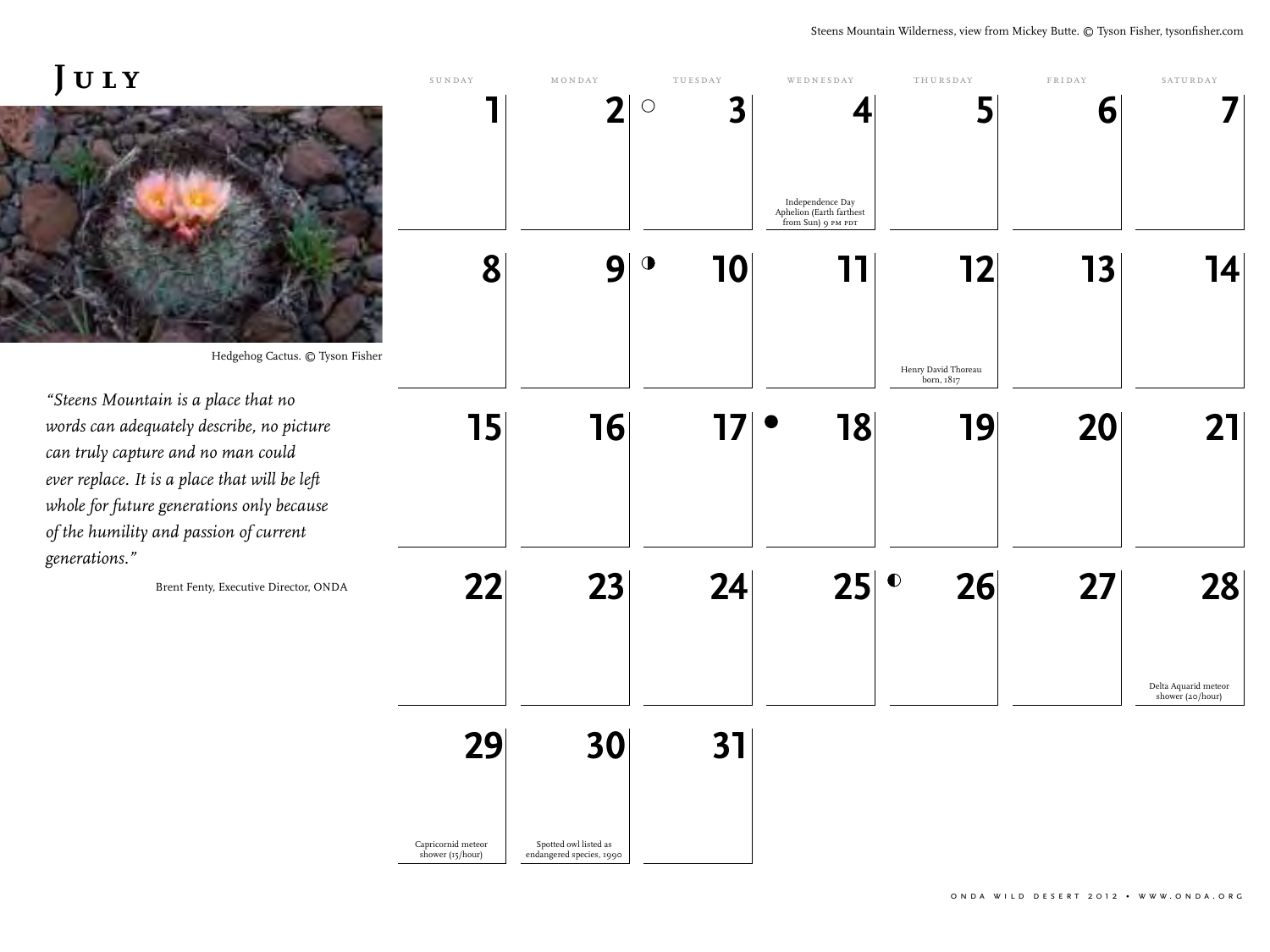

Hedgehog Cactus. © Tyson Fisher

*"Steens Mountain is a place that no words can adequately describe, no picture can truly capture and no man could ever replace. It is a place that will be left whole for future generations only because of the humility and passion of current generations."*

Brent Fenty, Executive Director, ONDA

| SUNDAY                                 | MONDAY                                                 | TUESDAY             | WEDNESDAY                                    | THURSDAY                          | FRIDAY | SATURDAY                                 |
|----------------------------------------|--------------------------------------------------------|---------------------|----------------------------------------------|-----------------------------------|--------|------------------------------------------|
|                                        | 2                                                      | $\bigcirc$<br>3     | 4                                            | 5                                 | 6      |                                          |
|                                        |                                                        |                     | Independence Day<br>Aphelion (Earth farthest |                                   |        |                                          |
| 8                                      | 9                                                      | 10<br>$\bigcirc$    | from Sun) 9 PM PDT<br>11                     | 12                                | 13     | 14                                       |
|                                        |                                                        |                     |                                              |                                   |        |                                          |
|                                        |                                                        |                     |                                              | Henry David Thoreau<br>born, 1817 |        |                                          |
| 15                                     | 16                                                     | 17                  | 18<br>$\bullet$                              | 19                                | 20     | 21                                       |
| 22                                     | 23                                                     | 24                  | 25                                           | 26<br>$\bullet$                   | 27     | 28                                       |
|                                        |                                                        |                     |                                              |                                   |        | Delta Aquarid meteor<br>shower (20/hour) |
| . I .<br>29                            | $\Box$<br>30                                           | $\blacksquare$<br>3 |                                              |                                   |        |                                          |
| Capricornid meteor<br>shower (15/hour) | ${\rm Spotted~owl~listed~as}$ endangered species, 1990 |                     |                                              |                                   |        |                                          |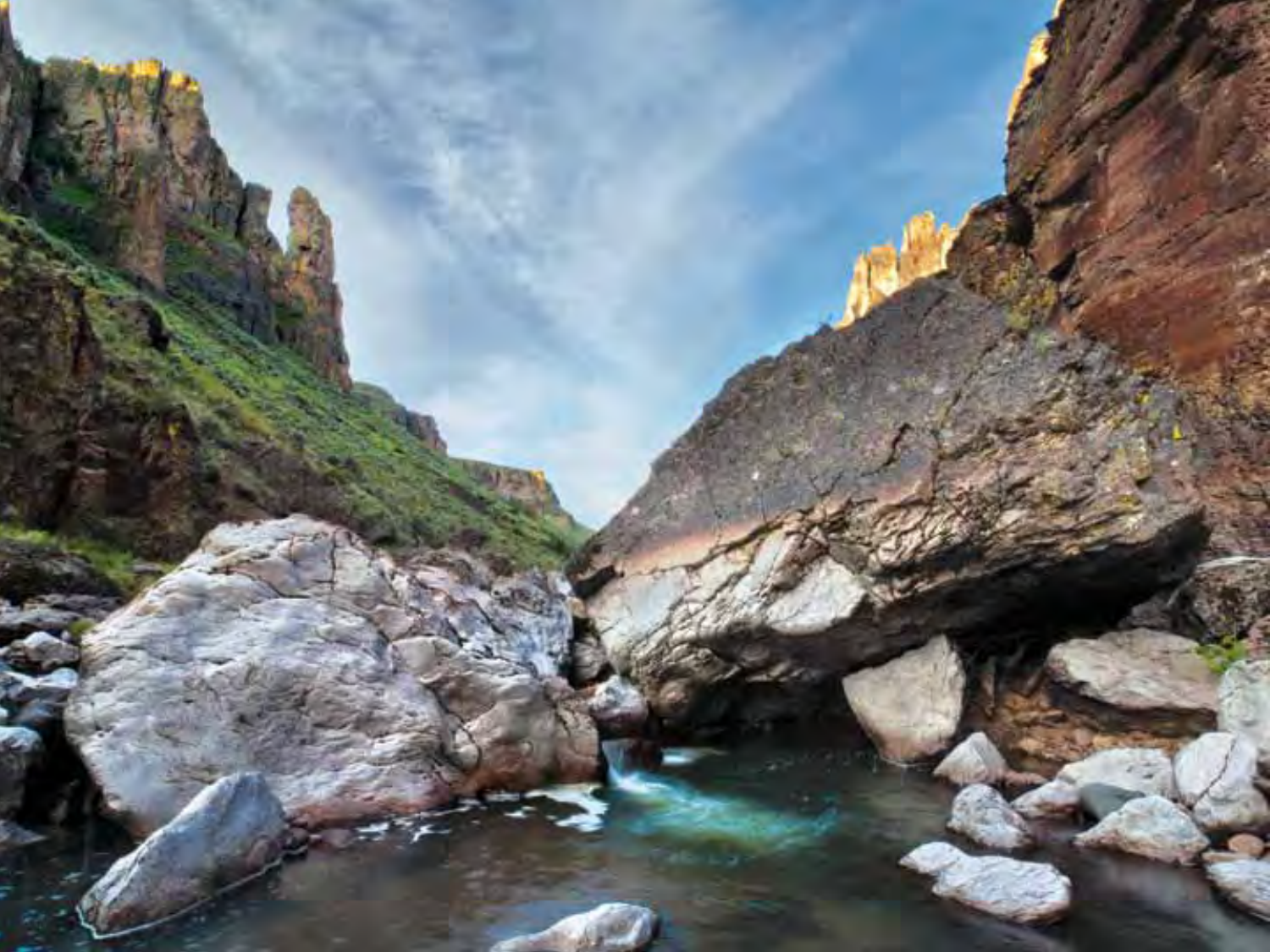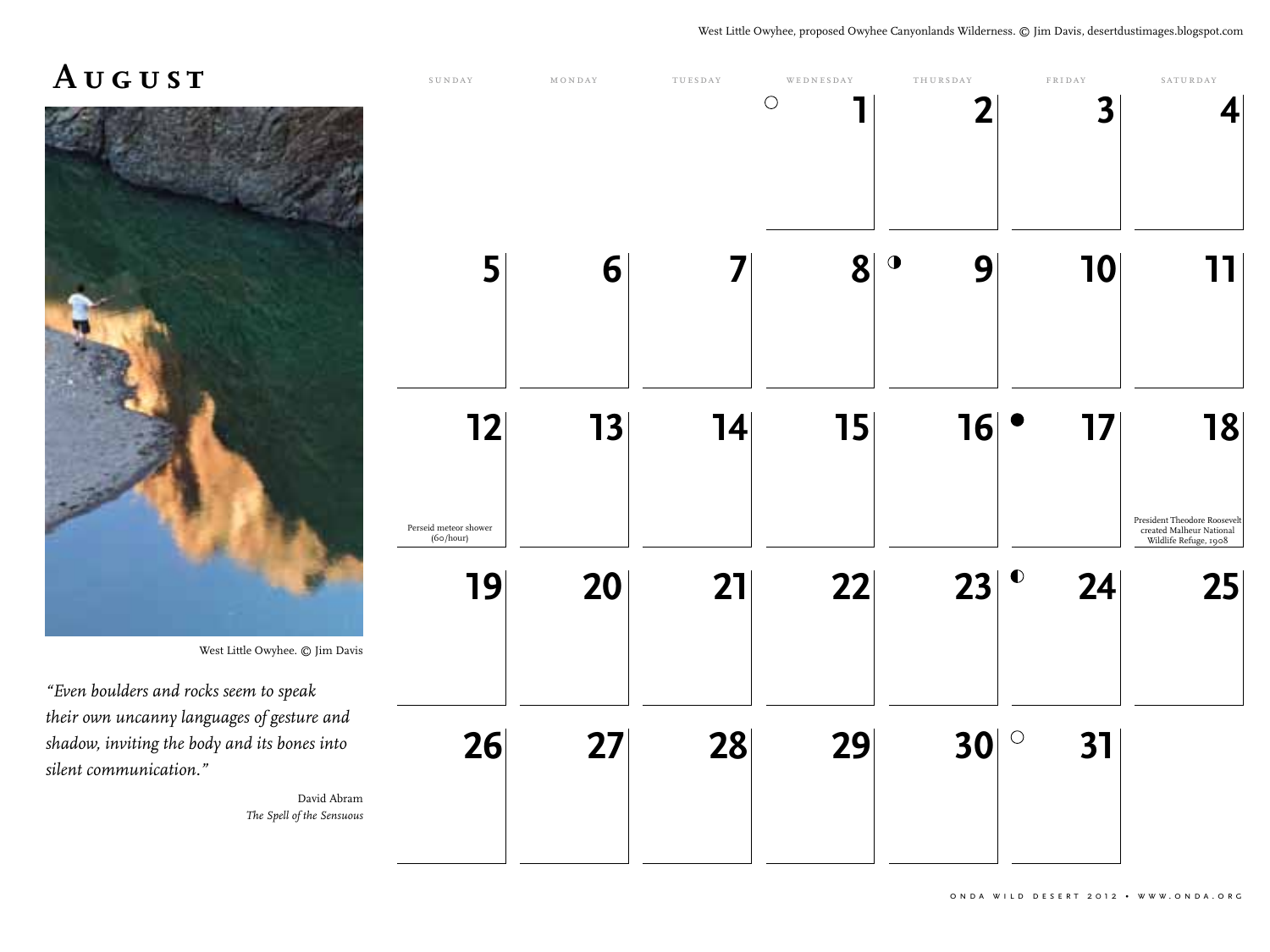### West Little Owyhee, proposed Owyhee Canyonlands Wilderness. © Jim Davis, desertdustimages.blogspot.com



West Little Owyhee. © Jim Davis

*"Even boulders and rocks seem to speak their own uncanny languages of gesture and shadow, inviting the body and its bones into silent communication."*

> David Abram *The Spell of the Sensuous*

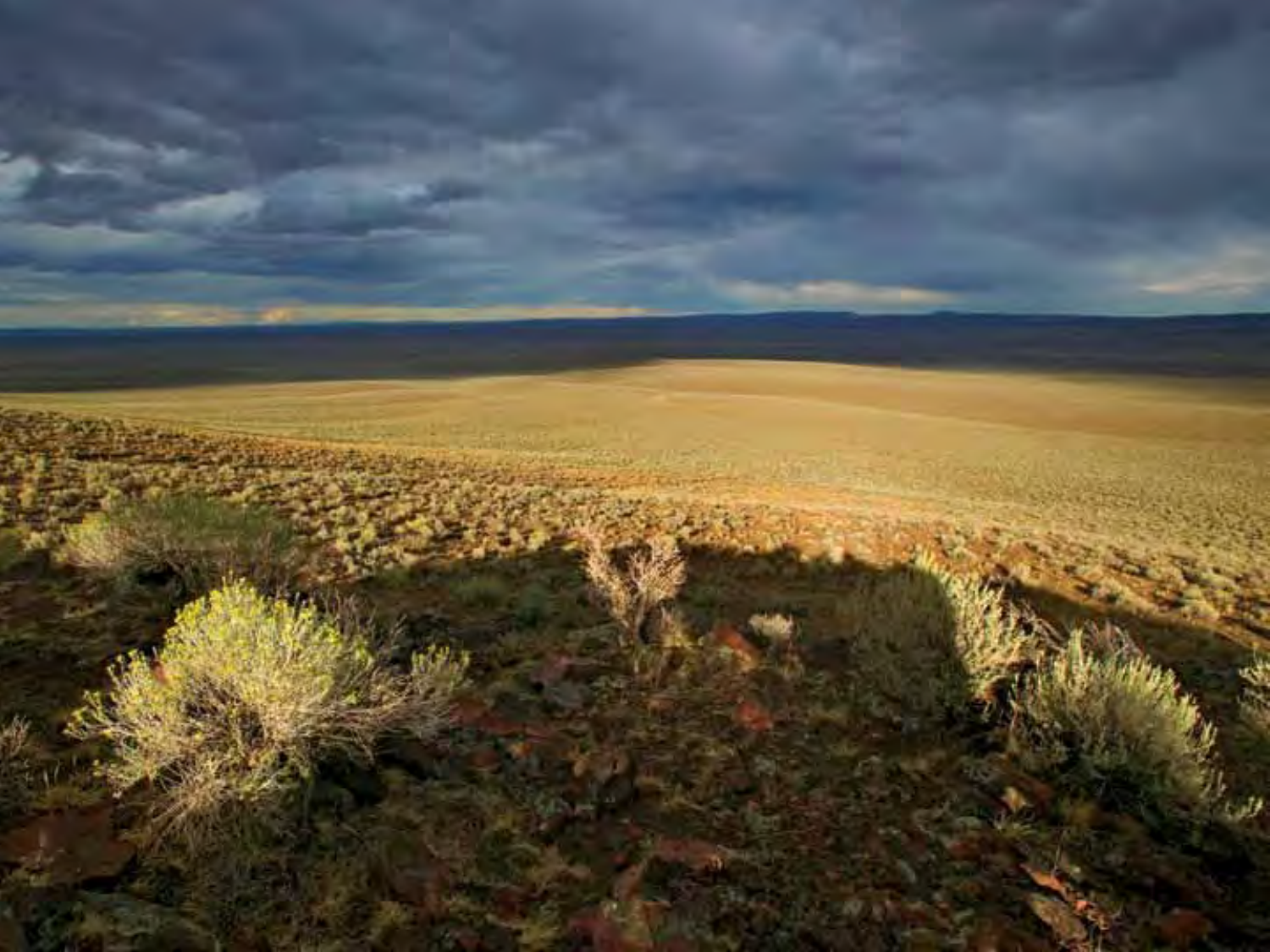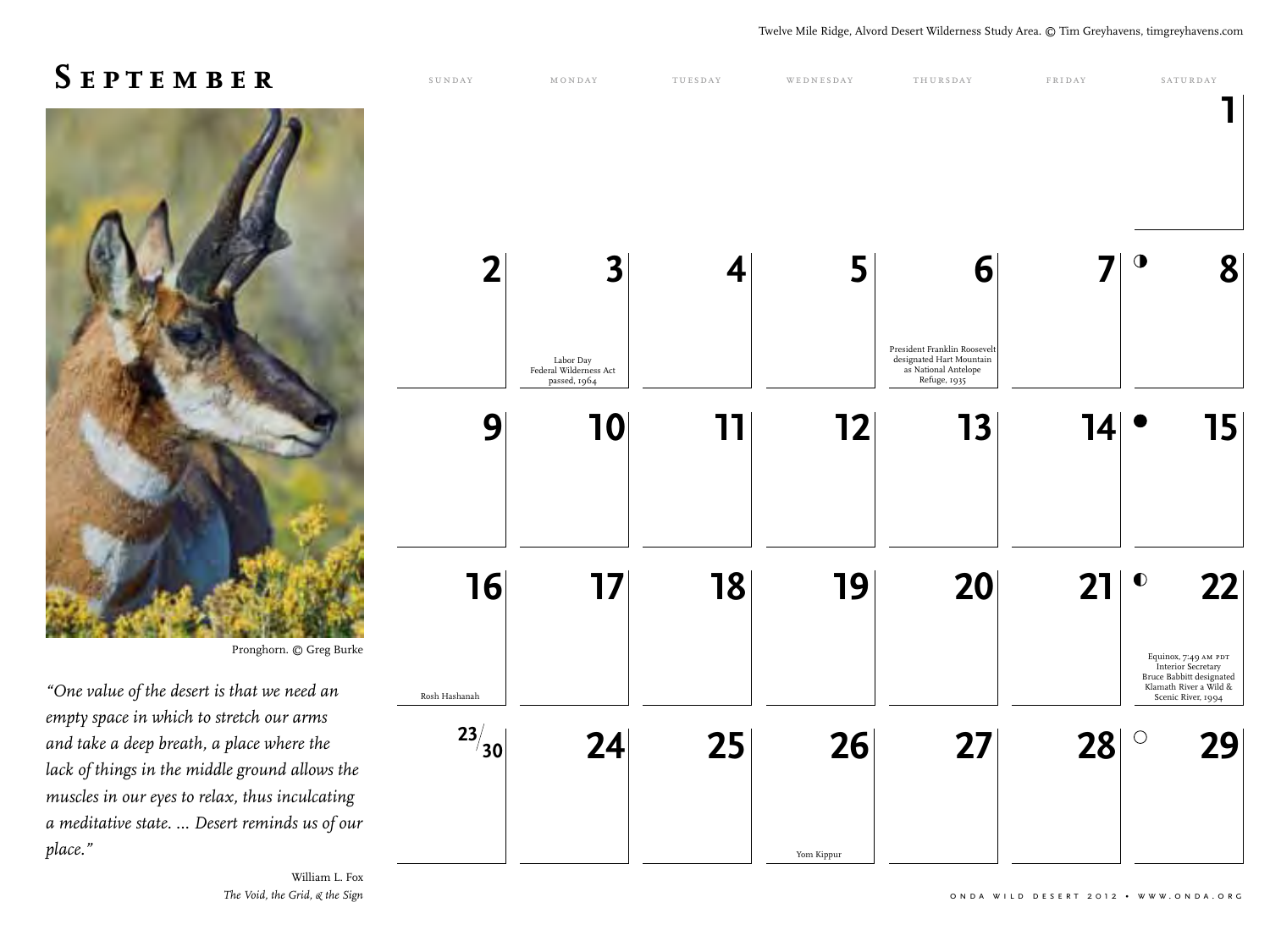#### Twelve Mile Ridge, Alvord Desert Wilderness Study Area. © Tim Greyhavens, timgreyhavens.com





**S e p t e m b e r**

Pronghorn. © Greg Burke

*"One value of the desert is that we need an empty space in which to stretch our arms and take a deep breath, a place where the lack of things in the middle ground allows the muscles in our eyes to relax, thus inculcating a meditative state. … Desert reminds us of our place."*

> William L. Fox  *The Void, the Grid, & the Sign*

O N D A W I L D D E S E R T 2 0 1 2 · W W W . O N D A . O R G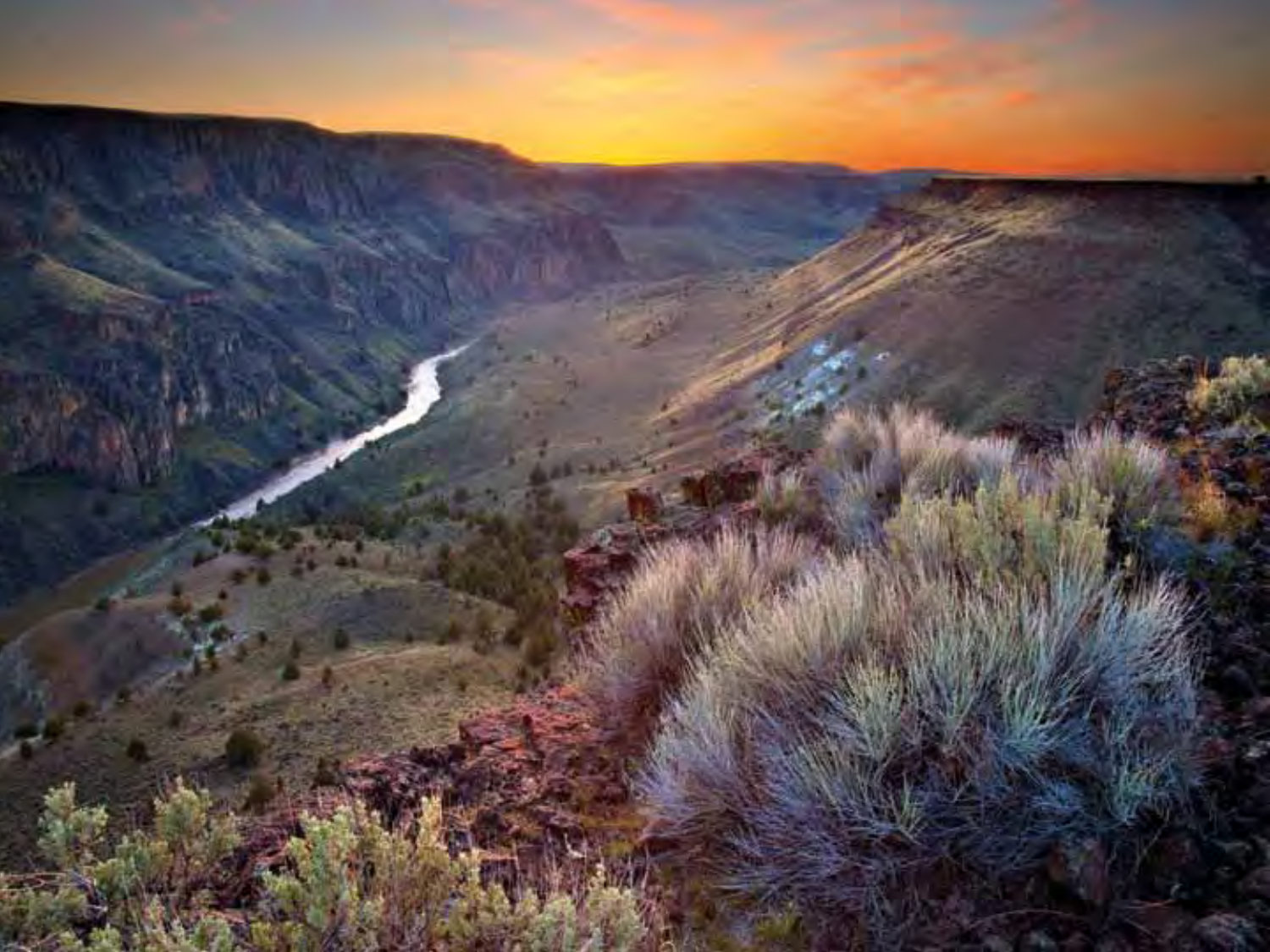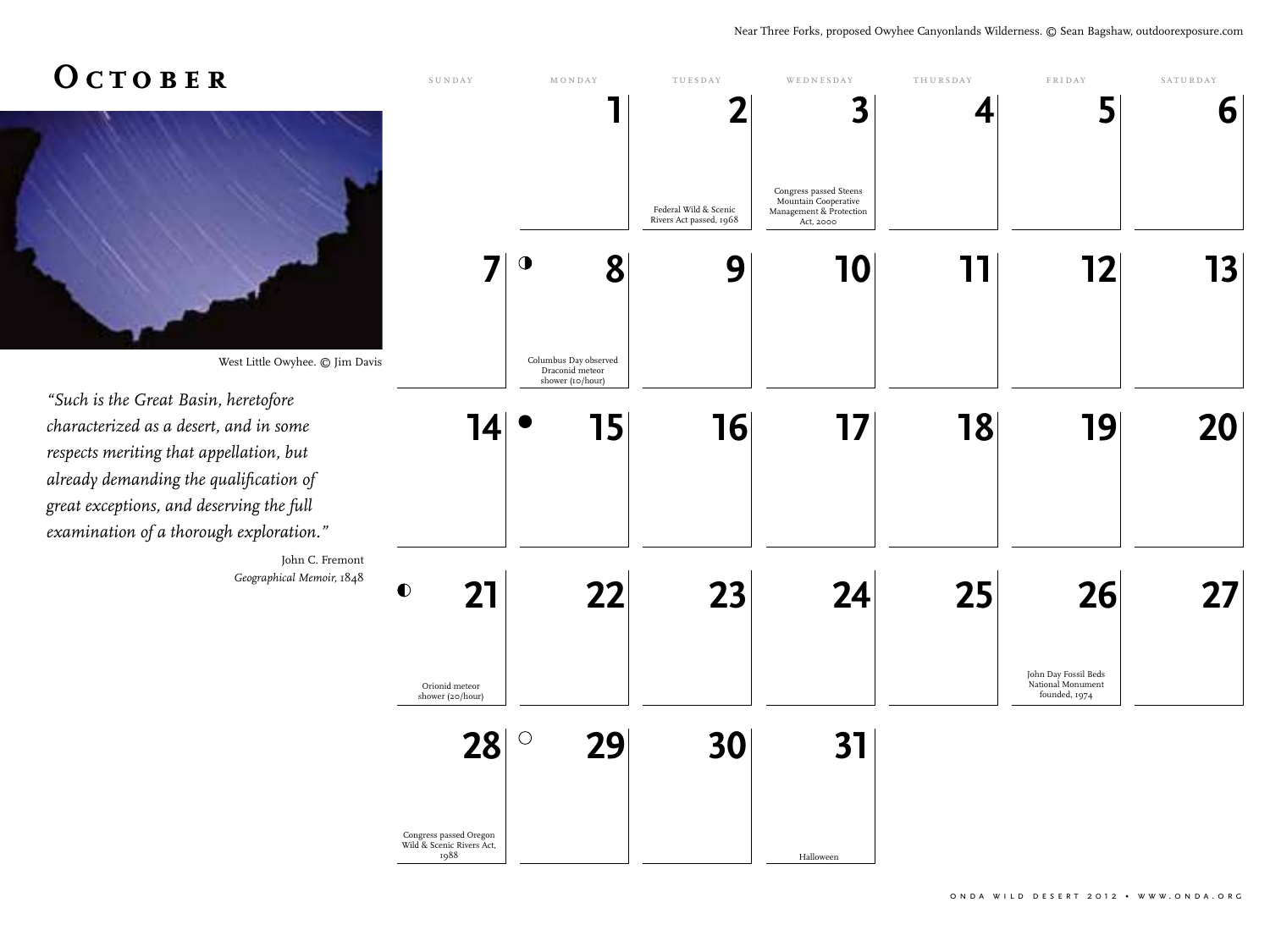### Near Three Forks, proposed Owyhee Canyonlands Wilderness. © Sean Bagshaw, outdoorexposure.com

## O C T O B E R



West Little Owyhee. © Jim Davis

*"Such is the Great Basin, heretofore characterized as a desert, and in some respects meriting that appellation, but already demanding the qualification of great exceptions, and deserving the full examination of a thorough exploration."*

> John C. Fremont *Geographical Memoir,* 1848

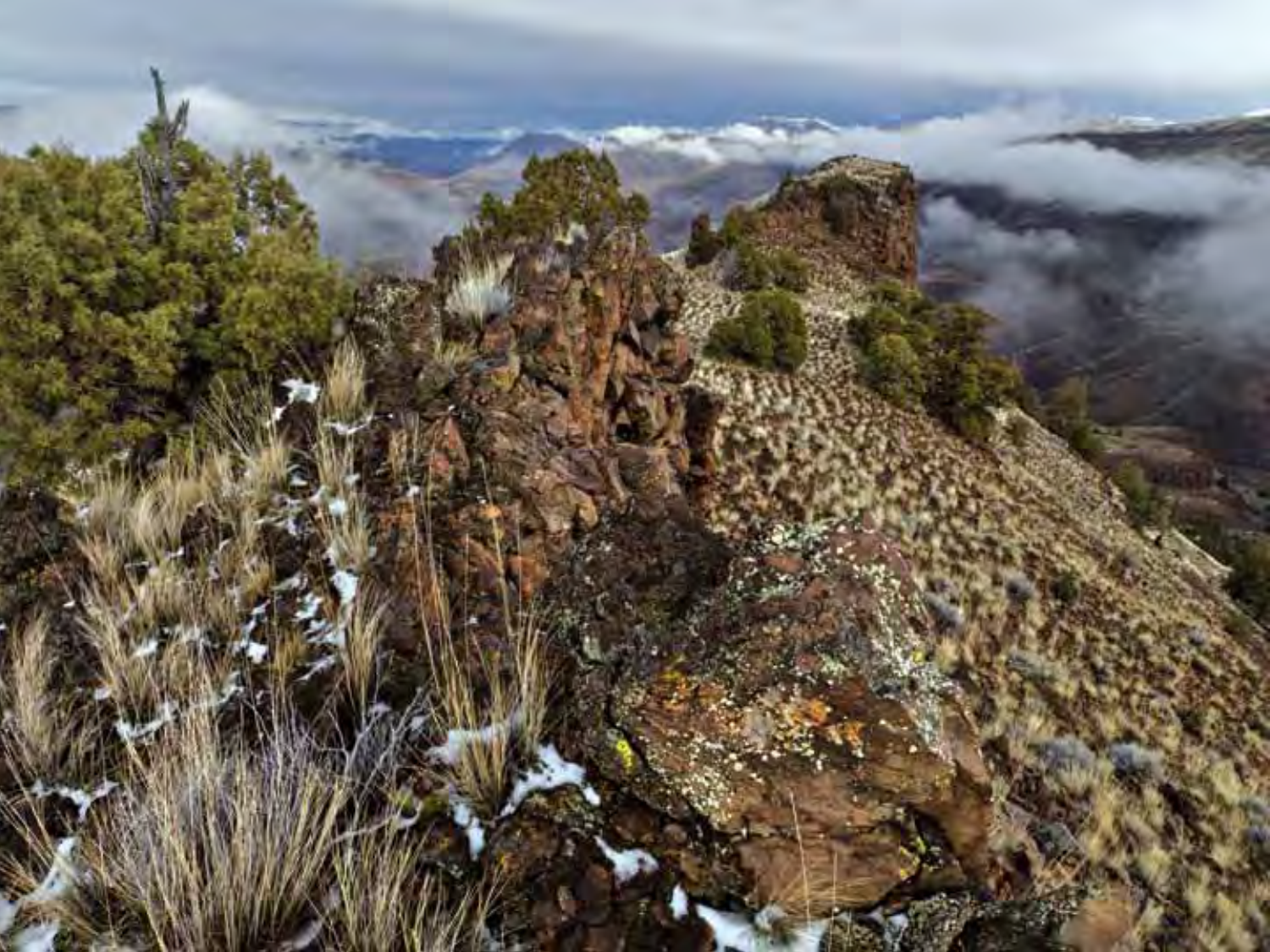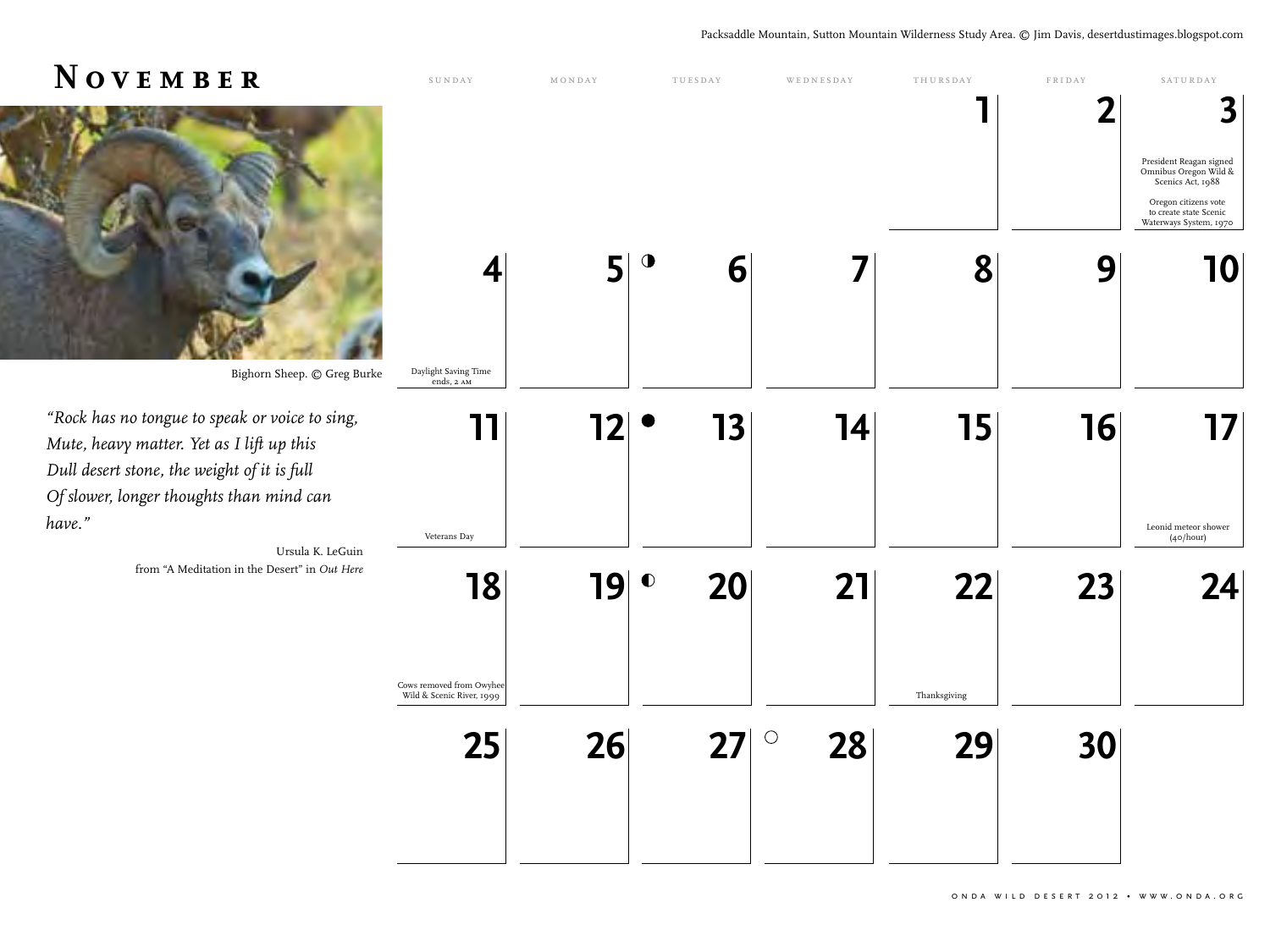#### Packsaddle Mountain, Sutton Mountain Wilderness Study Area. © Jim Davis, desertdustimages.blogspot.com



Bighorn Sheep. © Greg Burke

*"Rock has no tongue to speak or voice to sing, Mute, heavy matter. Yet as I lift up this Dull desert stone, the weight of it is full Of slower, longer thoughts than mind can have."*

> Ursula K. LeGuin from "A Meditation in the Desert" in *Out Here*

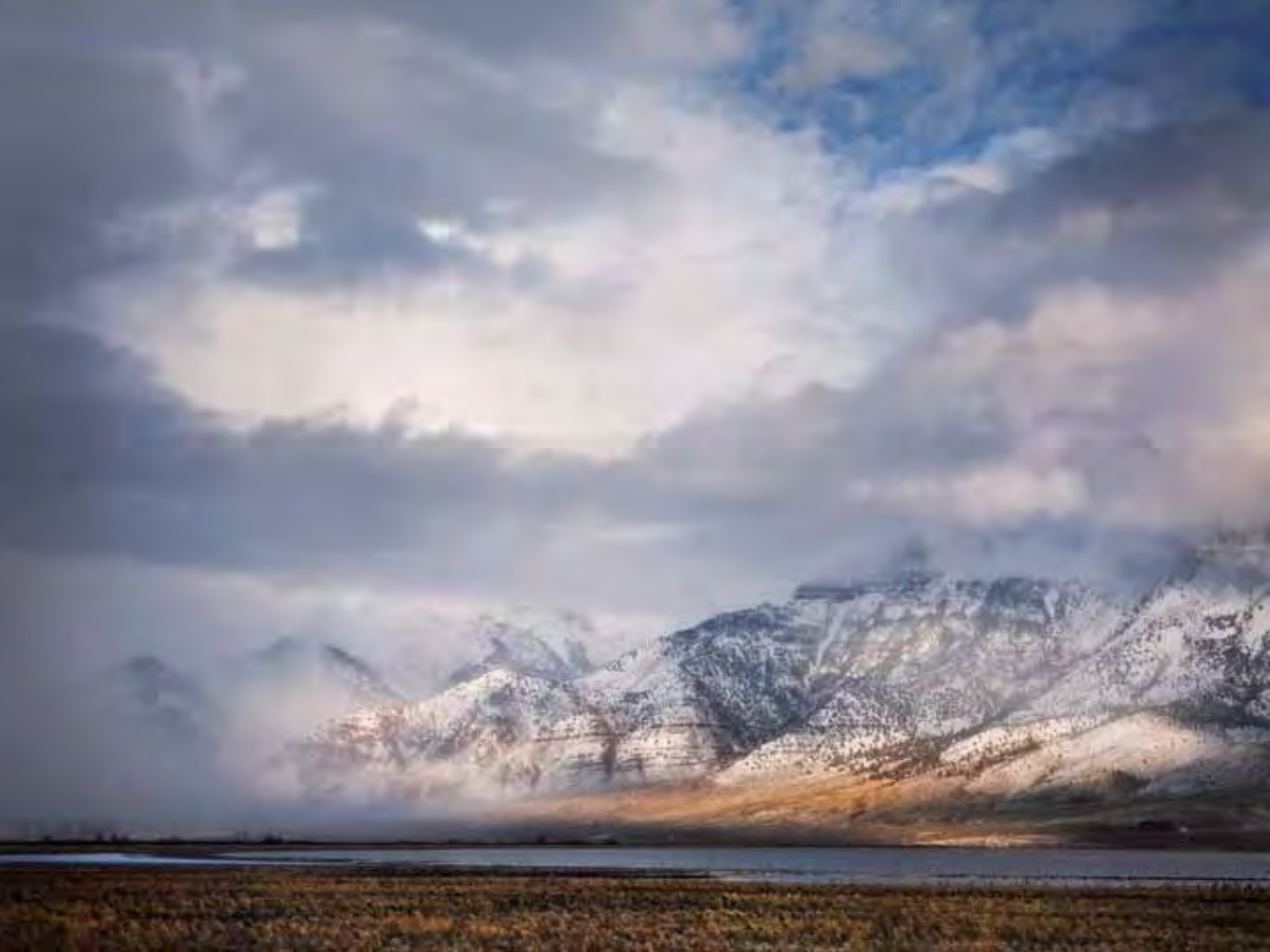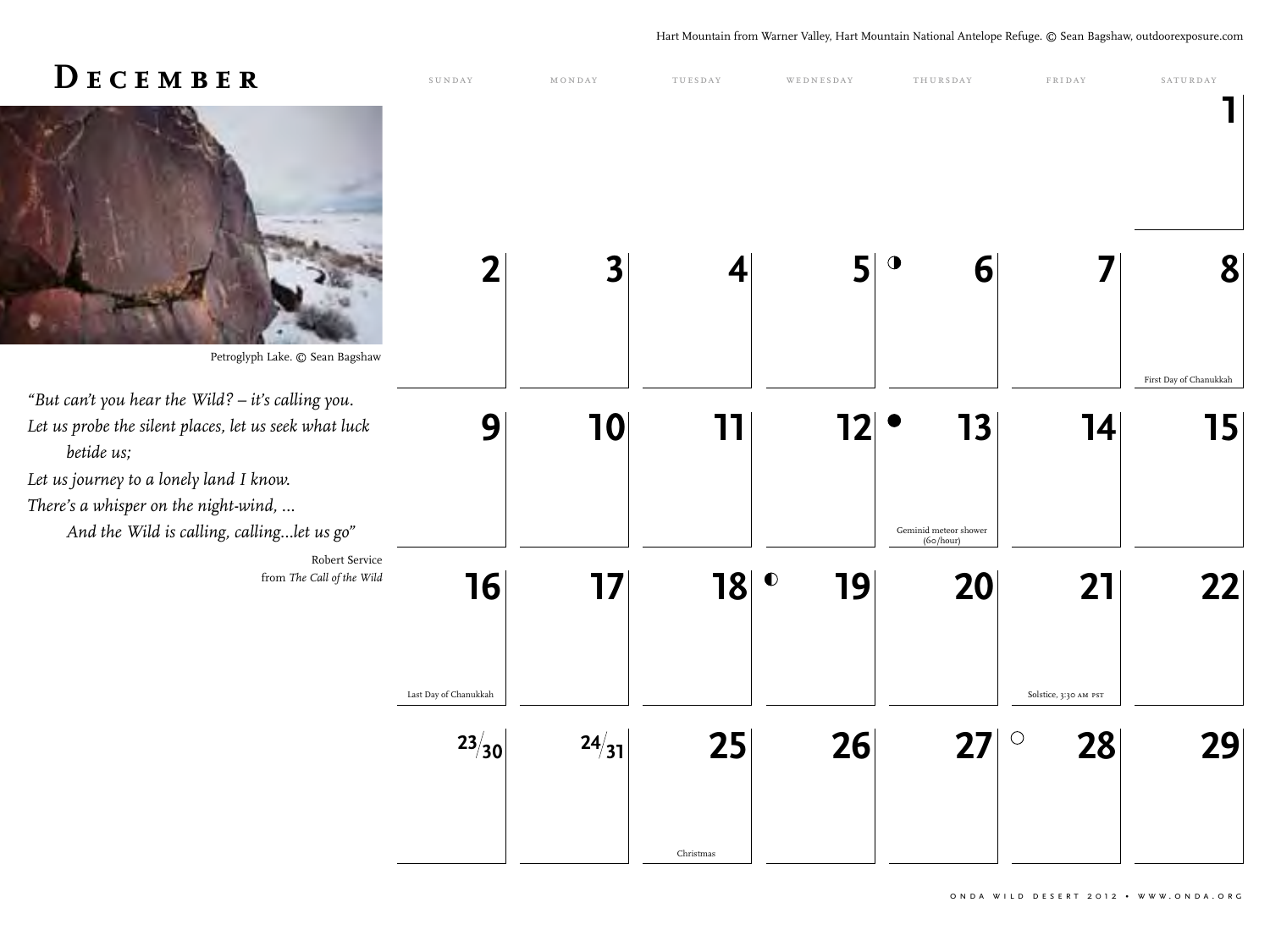### Hart Mountain from Warner Valley, Hart Mountain National Antelope Refuge. © Sean Bagshaw, outdoorexposure.com

### **D e c e m b e r**



Petroglyph Lake. © Sean Bagshaw

*"But can't you hear the Wild? – it's calling you. Let us probe the silent places, let us seek what luck betide us;*

*Let us journey to a lonely land I know.*

*There's a whisper on the night-wind, …*

*And the Wild is calling, calling…let us go"*

Robert Service from *The Call of the Wild*

| SUNDAY                | MONDAY | TUESDAY   | WEDNESDAY       | THURSDAY                           | FRIDAY                | SATURDAY               |
|-----------------------|--------|-----------|-----------------|------------------------------------|-----------------------|------------------------|
|                       |        |           |                 |                                    |                       |                        |
| 2                     |        | 4         | 51              | 6<br>$\bigcirc$                    |                       | 8                      |
|                       |        |           |                 |                                    |                       | First Day of Chanukkah |
| 9                     | 10     | 11        | 12              | 13                                 | 4                     | 15                     |
|                       |        |           |                 | Geminid meteor shower<br>(60/hour) |                       |                        |
| 16                    | 17     | 3         | $\bullet$<br>19 | 20                                 | 21                    | 22                     |
| Last Day of Chanukkah |        |           |                 |                                    | Solstice, 3:30 AM PST |                        |
| 23/30                 | 24/31  | 25        | 26              | 27                                 | $\bigcirc$<br>28      | 29                     |
|                       |        | Christmas |                 |                                    |                       |                        |